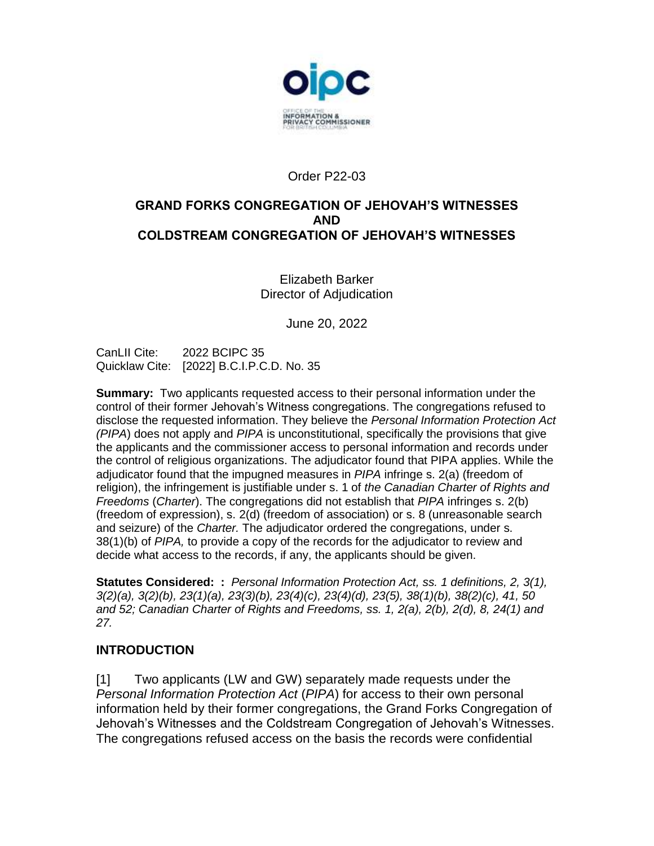

# Order P22-03

### **GRAND FORKS CONGREGATION OF JEHOVAH'S WITNESSES AND COLDSTREAM CONGREGATION OF JEHOVAH'S WITNESSES**

Elizabeth Barker Director of Adjudication

June 20, 2022

CanLII Cite: 2022 BCIPC 35 Quicklaw Cite: [2022] B.C.I.P.C.D. No. 35

**Summary:** Two applicants requested access to their personal information under the control of their former Jehovah's Witness congregations. The congregations refused to disclose the requested information. They believe the *Personal Information Protection Act (PIPA*) does not apply and *PIPA* is unconstitutional, specifically the provisions that give the applicants and the commissioner access to personal information and records under the control of religious organizations. The adjudicator found that PIPA applies. While the adjudicator found that the impugned measures in *PIPA* infringe s. 2(a) (freedom of religion), the infringement is justifiable under s. 1 of *the Canadian Charter of Rights and Freedoms* (*Charter*). The congregations did not establish that *PIPA* infringes s. 2(b) (freedom of expression), s. 2(d) (freedom of association) or s. 8 (unreasonable search and seizure) of the *Charter.* The adjudicator ordered the congregations, under s. 38(1)(b) of *PIPA,* to provide a copy of the records for the adjudicator to review and decide what access to the records, if any, the applicants should be given.

**Statutes Considered: :** *Personal Information Protection Act, ss. 1 definitions, 2, 3(1), 3(2)(a), 3(2)(b), 23(1)(a), 23(3)(b), 23(4)(c), 23(4)(d), 23(5), 38(1)(b), 38(2)(c), 41, 50 and 52; Canadian Charter of Rights and Freedoms, ss. 1, 2(a), 2(b), 2(d), 8, 24(1) and 27.*

# **INTRODUCTION**

[1] Two applicants (LW and GW) separately made requests under the *Personal Information Protection Act* (*PIPA*) for access to their own personal information held by their former congregations, the Grand Forks Congregation of Jehovah's Witnesses and the Coldstream Congregation of Jehovah's Witnesses. The congregations refused access on the basis the records were confidential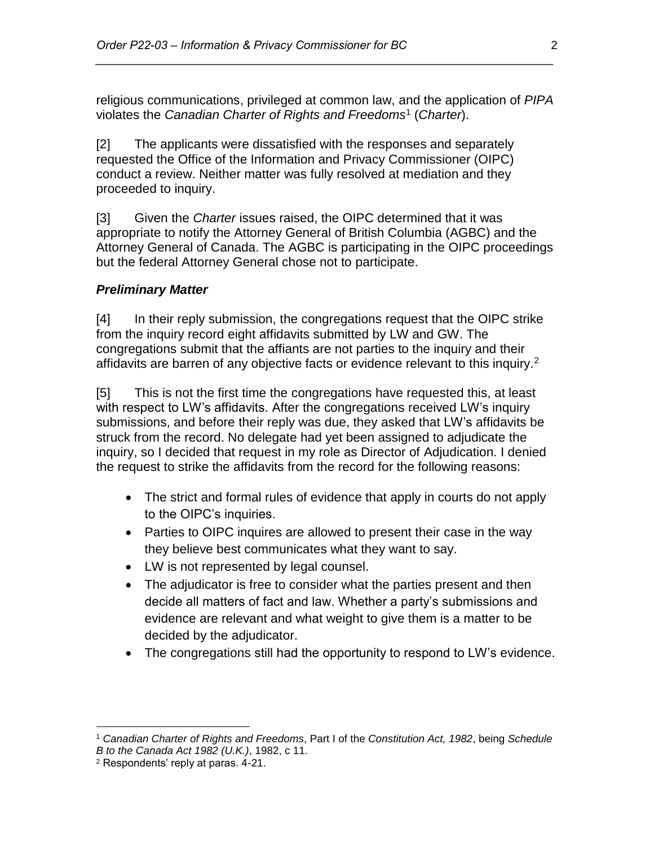religious communications, privileged at common law, and the application of *PIPA* violates the *Canadian Charter of Rights and Freedoms*<sup>1</sup> (*Charter*).

*\_\_\_\_\_\_\_\_\_\_\_\_\_\_\_\_\_\_\_\_\_\_\_\_\_\_\_\_\_\_\_\_\_\_\_\_\_\_\_\_\_\_\_\_\_\_\_\_\_\_\_\_\_\_\_\_\_\_\_\_\_\_\_\_\_\_\_\_\_\_*

[2] The applicants were dissatisfied with the responses and separately requested the Office of the Information and Privacy Commissioner (OIPC) conduct a review. Neither matter was fully resolved at mediation and they proceeded to inquiry.

[3] Given the *Charter* issues raised, the OIPC determined that it was appropriate to notify the Attorney General of British Columbia (AGBC) and the Attorney General of Canada. The AGBC is participating in the OIPC proceedings but the federal Attorney General chose not to participate.

#### *Preliminary Matter*

[4] In their reply submission, the congregations request that the OIPC strike from the inquiry record eight affidavits submitted by LW and GW. The congregations submit that the affiants are not parties to the inquiry and their affidavits are barren of any objective facts or evidence relevant to this inquiry.<sup>2</sup>

[5] This is not the first time the congregations have requested this, at least with respect to LW's affidavits. After the congregations received LW's inquiry submissions, and before their reply was due, they asked that LW's affidavits be struck from the record. No delegate had yet been assigned to adjudicate the inquiry, so I decided that request in my role as Director of Adjudication. I denied the request to strike the affidavits from the record for the following reasons:

- The strict and formal rules of evidence that apply in courts do not apply to the OIPC's inquiries.
- Parties to OIPC inquires are allowed to present their case in the way they believe best communicates what they want to say.
- LW is not represented by legal counsel.
- The adjudicator is free to consider what the parties present and then decide all matters of fact and law. Whether a party's submissions and evidence are relevant and what weight to give them is a matter to be decided by the adjudicator.
- The congregations still had the opportunity to respond to LW's evidence.

<sup>1</sup> *Canadian Charter of Rights and Freedoms*, Part I of the *Constitution Act, 1982*, being *Schedule B to the Canada Act 1982 (U.K.)*, 1982, c 11.

<sup>2</sup> Respondents' reply at paras. 4-21.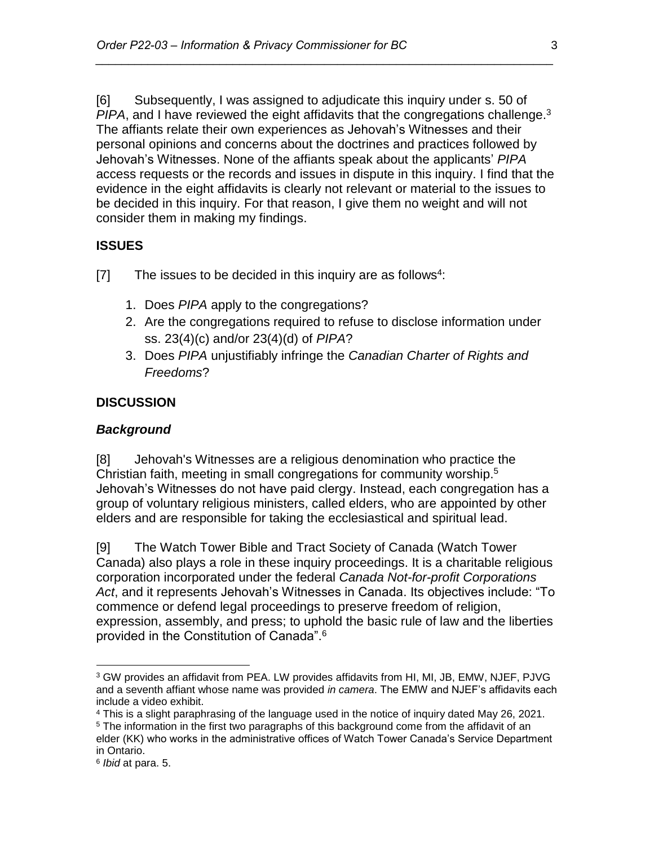[6] Subsequently, I was assigned to adjudicate this inquiry under s. 50 of PIPA, and I have reviewed the eight affidavits that the congregations challenge.<sup>3</sup> The affiants relate their own experiences as Jehovah's Witnesses and their personal opinions and concerns about the doctrines and practices followed by Jehovah's Witnesses. None of the affiants speak about the applicants' *PIPA* access requests or the records and issues in dispute in this inquiry. I find that the evidence in the eight affidavits is clearly not relevant or material to the issues to be decided in this inquiry. For that reason, I give them no weight and will not consider them in making my findings.

*\_\_\_\_\_\_\_\_\_\_\_\_\_\_\_\_\_\_\_\_\_\_\_\_\_\_\_\_\_\_\_\_\_\_\_\_\_\_\_\_\_\_\_\_\_\_\_\_\_\_\_\_\_\_\_\_\_\_\_\_\_\_\_\_\_\_\_\_\_\_*

### **ISSUES**

- [7] The issues to be decided in this inquiry are as follows<sup>4</sup>:
	- 1. Does *PIPA* apply to the congregations?
	- 2. Are the congregations required to refuse to disclose information under ss. 23(4)(c) and/or 23(4)(d) of *PIPA*?
	- 3. Does *PIPA* unjustifiably infringe the *Canadian Charter of Rights and Freedoms*?

### **DISCUSSION**

#### *Background*

[8] Jehovah's Witnesses are a religious denomination who practice the Christian faith, meeting in small congregations for community worship.<sup>5</sup> Jehovah's Witnesses do not have paid clergy. Instead, each congregation has a group of voluntary religious ministers, called elders, who are appointed by other elders and are responsible for taking the ecclesiastical and spiritual lead.

[9] The Watch Tower Bible and Tract Society of Canada (Watch Tower Canada) also plays a role in these inquiry proceedings. It is a charitable religious corporation incorporated under the federal *Canada Not-for-profit Corporations Act*, and it represents Jehovah's Witnesses in Canada. Its objectives include: "To commence or defend legal proceedings to preserve freedom of religion, expression, assembly, and press; to uphold the basic rule of law and the liberties provided in the Constitution of Canada".<sup>6</sup>

<sup>3</sup> GW provides an affidavit from PEA. LW provides affidavits from HI, MI, JB, EMW, NJEF, PJVG and a seventh affiant whose name was provided *in camera*. The EMW and NJEF's affidavits each include a video exhibit.

<sup>4</sup> This is a slight paraphrasing of the language used in the notice of inquiry dated May 26, 2021.

 $5$  The information in the first two paragraphs of this background come from the affidavit of an

elder (KK) who works in the administrative offices of Watch Tower Canada's Service Department in Ontario.

<sup>6</sup> *Ibid* at para. 5.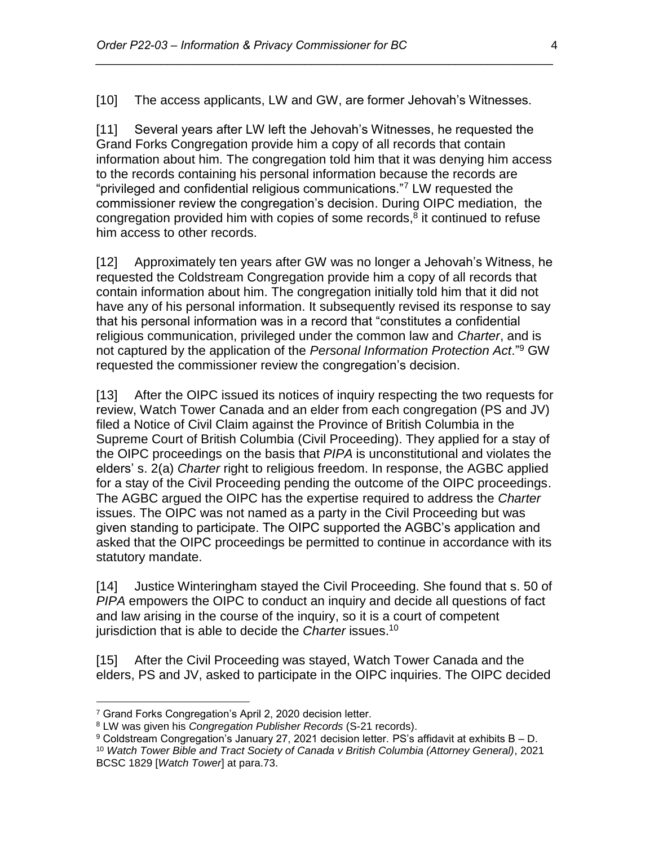[10] The access applicants, LW and GW, are former Jehovah's Witnesses.

*\_\_\_\_\_\_\_\_\_\_\_\_\_\_\_\_\_\_\_\_\_\_\_\_\_\_\_\_\_\_\_\_\_\_\_\_\_\_\_\_\_\_\_\_\_\_\_\_\_\_\_\_\_\_\_\_\_\_\_\_\_\_\_\_\_\_\_\_\_\_*

[11] Several years after LW left the Jehovah's Witnesses, he requested the Grand Forks Congregation provide him a copy of all records that contain information about him. The congregation told him that it was denying him access to the records containing his personal information because the records are "privileged and confidential religious communications."<sup>7</sup> LW requested the commissioner review the congregation's decision. During OIPC mediation, the congregation provided him with copies of some records, $<sup>8</sup>$  it continued to refuse</sup> him access to other records.

[12] Approximately ten years after GW was no longer a Jehovah's Witness, he requested the Coldstream Congregation provide him a copy of all records that contain information about him. The congregation initially told him that it did not have any of his personal information. It subsequently revised its response to say that his personal information was in a record that "constitutes a confidential religious communication, privileged under the common law and *Charter*, and is not captured by the application of the *Personal Information Protection Act*."<sup>9</sup> GW requested the commissioner review the congregation's decision.

[13] After the OIPC issued its notices of inquiry respecting the two requests for review, Watch Tower Canada and an elder from each congregation (PS and JV) filed a Notice of Civil Claim against the Province of British Columbia in the Supreme Court of British Columbia (Civil Proceeding). They applied for a stay of the OIPC proceedings on the basis that *PIPA* is unconstitutional and violates the elders' s. 2(a) *Charter* right to religious freedom. In response, the AGBC applied for a stay of the Civil Proceeding pending the outcome of the OIPC proceedings. The AGBC argued the OIPC has the expertise required to address the *Charter* issues. The OIPC was not named as a party in the Civil Proceeding but was given standing to participate. The OIPC supported the AGBC's application and asked that the OIPC proceedings be permitted to continue in accordance with its statutory mandate.

[14] Justice Winteringham stayed the Civil Proceeding. She found that s. 50 of *PIPA* empowers the OIPC to conduct an inquiry and decide all questions of fact and law arising in the course of the inquiry, so it is a court of competent jurisdiction that is able to decide the *Charter* issues. 10

[15] After the Civil Proceeding was stayed, Watch Tower Canada and the elders, PS and JV, asked to participate in the OIPC inquiries. The OIPC decided

<sup>7</sup> Grand Forks Congregation's April 2, 2020 decision letter.

<sup>8</sup> LW was given his *Congregation Publisher Records* (S-21 records).

<sup>9</sup> Coldstream Congregation's January 27, 2021 decision letter. PS's affidavit at exhibits B – D.

<sup>10</sup> *Watch Tower Bible and Tract Society of Canada v British Columbia (Attorney General)*, 2021 BCSC 1829 [*Watch Tower*] at para.73.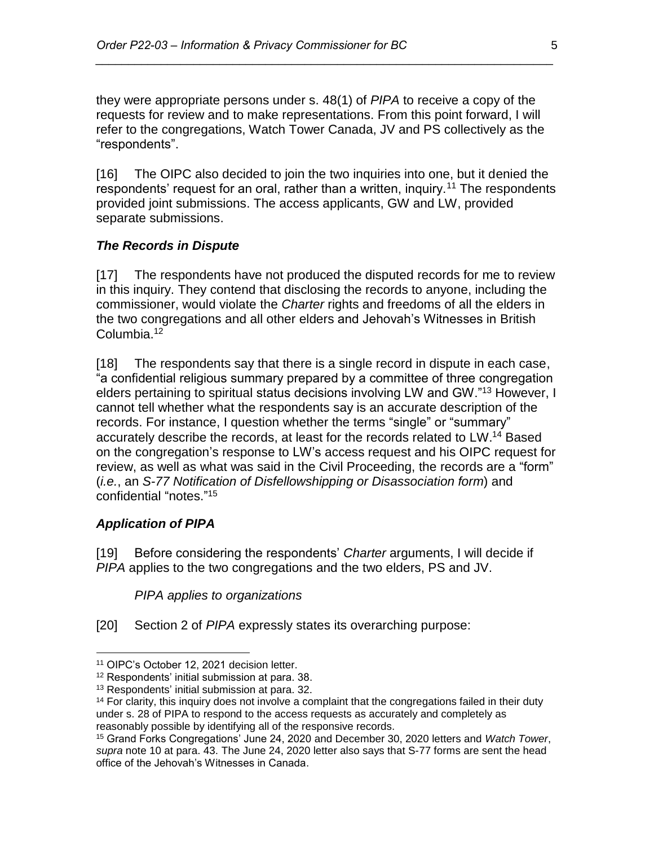they were appropriate persons under s. 48(1) of *PIPA* to receive a copy of the requests for review and to make representations. From this point forward, I will refer to the congregations, Watch Tower Canada, JV and PS collectively as the "respondents".

*\_\_\_\_\_\_\_\_\_\_\_\_\_\_\_\_\_\_\_\_\_\_\_\_\_\_\_\_\_\_\_\_\_\_\_\_\_\_\_\_\_\_\_\_\_\_\_\_\_\_\_\_\_\_\_\_\_\_\_\_\_\_\_\_\_\_\_\_\_\_*

[16] The OIPC also decided to join the two inquiries into one, but it denied the respondents' request for an oral, rather than a written, inquiry.<sup>11</sup> The respondents provided joint submissions. The access applicants, GW and LW, provided separate submissions.

#### *The Records in Dispute*

[17] The respondents have not produced the disputed records for me to review in this inquiry. They contend that disclosing the records to anyone, including the commissioner, would violate the *Charter* rights and freedoms of all the elders in the two congregations and all other elders and Jehovah's Witnesses in British Columbia.<sup>12</sup>

[18] The respondents say that there is a single record in dispute in each case, "a confidential religious summary prepared by a committee of three congregation elders pertaining to spiritual status decisions involving LW and GW."<sup>13</sup> However, I cannot tell whether what the respondents say is an accurate description of the records. For instance, I question whether the terms "single" or "summary" accurately describe the records, at least for the records related to LW. <sup>14</sup> Based on the congregation's response to LW's access request and his OIPC request for review, as well as what was said in the Civil Proceeding, the records are a "form" (*i.e.*, an *S-77 Notification of Disfellowshipping or Disassociation form*) and confidential "notes." 15

#### *Application of PIPA*

 $\overline{a}$ 

[19] Before considering the respondents' *Charter* arguments, I will decide if *PIPA* applies to the two congregations and the two elders, PS and JV.

#### *PIPA applies to organizations*

[20] Section 2 of *PIPA* expressly states its overarching purpose:

<sup>11</sup> OIPC's October 12, 2021 decision letter.

<sup>12</sup> Respondents' initial submission at para. 38.

<sup>13</sup> Respondents' initial submission at para. 32.

<sup>&</sup>lt;sup>14</sup> For clarity, this inquiry does not involve a complaint that the congregations failed in their duty under s. 28 of PIPA to respond to the access requests as accurately and completely as reasonably possible by identifying all of the responsive records.

<sup>15</sup> Grand Forks Congregations' June 24, 2020 and December 30, 2020 letters and *Watch Tower*, *supra* note 10 at para. 43. The June 24, 2020 letter also says that S-77 forms are sent the head office of the Jehovah's Witnesses in Canada.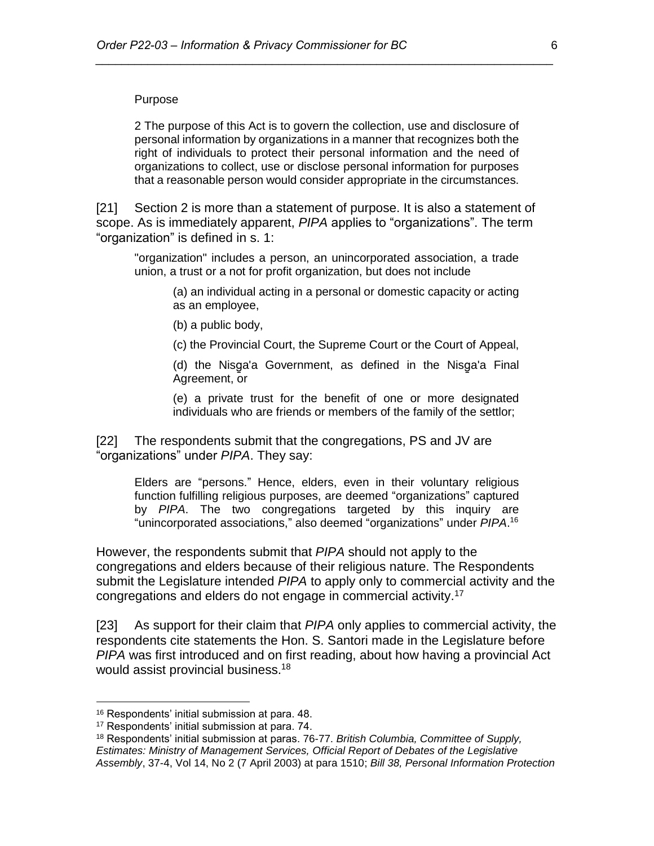#### Purpose

2 The purpose of this Act is to govern the collection, use and disclosure of personal information by organizations in a manner that recognizes both the right of individuals to protect their personal information and the need of organizations to collect, use or disclose personal information for purposes that a reasonable person would consider appropriate in the circumstances.

*\_\_\_\_\_\_\_\_\_\_\_\_\_\_\_\_\_\_\_\_\_\_\_\_\_\_\_\_\_\_\_\_\_\_\_\_\_\_\_\_\_\_\_\_\_\_\_\_\_\_\_\_\_\_\_\_\_\_\_\_\_\_\_\_\_\_\_\_\_\_*

[21] Section 2 is more than a statement of purpose. It is also a statement of scope. As is immediately apparent, *PIPA* applies to "organizations". The term "organization" is defined in s. 1:

"organization" includes a person, an unincorporated association, a trade union, a trust or a not for profit organization, but does not include

(a) an individual acting in a personal or domestic capacity or acting as an employee,

(b) a public body,

(c) the Provincial Court, the Supreme Court or the Court of Appeal,

(d) the Nisg̱a'a Government, as defined in the Nisg̱a'a Final Agreement, or

(e) a private trust for the benefit of one or more designated individuals who are friends or members of the family of the settlor;

[22] The respondents submit that the congregations, PS and JV are "organizations" under *PIPA*. They say:

Elders are "persons." Hence, elders, even in their voluntary religious function fulfilling religious purposes, are deemed "organizations" captured by *PIPA*. The two congregations targeted by this inquiry are "unincorporated associations," also deemed "organizations" under *PIPA*. 16

However, the respondents submit that *PIPA* should not apply to the congregations and elders because of their religious nature. The Respondents submit the Legislature intended *PIPA* to apply only to commercial activity and the congregations and elders do not engage in commercial activity. 17

[23] As support for their claim that *PIPA* only applies to commercial activity, the respondents cite statements the Hon. S. Santori made in the Legislature before *PIPA* was first introduced and on first reading, about how having a provincial Act would assist provincial business.<sup>18</sup>

<sup>16</sup> Respondents' initial submission at para. 48.

<sup>17</sup> Respondents' initial submission at para. 74.

<sup>18</sup> Respondents' initial submission at paras. 76-77. *British Columbia, Committee of Supply, Estimates: Ministry of Management Services, Official Report of Debates of the Legislative Assembly*, 37-4, Vol 14, No 2 (7 April 2003) at para 1510; *Bill 38, Personal Information Protection*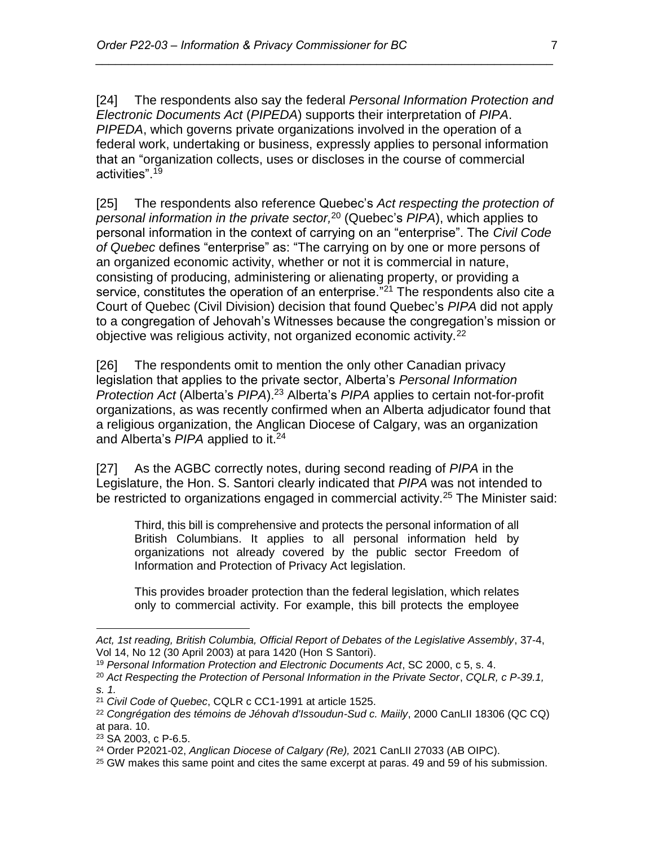[24] The respondents also say the federal *Personal Information Protection and Electronic Documents Act* (*PIPEDA*) supports their interpretation of *PIPA*. *PIPEDA*, which governs private organizations involved in the operation of a federal work, undertaking or business, expressly applies to personal information that an "organization collects, uses or discloses in the course of commercial activities".<sup>19</sup>

*\_\_\_\_\_\_\_\_\_\_\_\_\_\_\_\_\_\_\_\_\_\_\_\_\_\_\_\_\_\_\_\_\_\_\_\_\_\_\_\_\_\_\_\_\_\_\_\_\_\_\_\_\_\_\_\_\_\_\_\_\_\_\_\_\_\_\_\_\_\_*

[25] The respondents also reference Quebec's *Act respecting the protection of personal information in the private sector,* <sup>20</sup> (Quebec's *PIPA*), which applies to personal information in the context of carrying on an "enterprise". The *Civil Code of Quebec* defines "enterprise" as: "The carrying on by one or more persons of an organized economic activity, whether or not it is commercial in nature, consisting of producing, administering or alienating property, or providing a service, constitutes the operation of an enterprise."<sup>21</sup> The respondents also cite a Court of Quebec (Civil Division) decision that found Quebec's *PIPA* did not apply to a congregation of Jehovah's Witnesses because the congregation's mission or objective was religious activity, not organized economic activity.<sup>22</sup>

[26] The respondents omit to mention the only other Canadian privacy legislation that applies to the private sector, Alberta's *Personal Information Protection Act* (Alberta's *PIPA*).<sup>23</sup> Alberta's *PIPA* applies to certain not-for-profit organizations, as was recently confirmed when an Alberta adjudicator found that a religious organization, the Anglican Diocese of Calgary, was an organization and Alberta's *PIPA* applied to it. 24

[27] As the AGBC correctly notes, during second reading of *PIPA* in the Legislature, the Hon. S. Santori clearly indicated that *PIPA* was not intended to be restricted to organizations engaged in commercial activity.<sup>25</sup> The Minister said:

Third, this bill is comprehensive and protects the personal information of all British Columbians. It applies to all personal information held by organizations not already covered by the public sector Freedom of Information and Protection of Privacy Act legislation.

This provides broader protection than the federal legislation, which relates only to commercial activity. For example, this bill protects the employee

*Act, 1st reading, British Columbia, Official Report of Debates of the Legislative Assembly*, 37-4, Vol 14, No 12 (30 April 2003) at para 1420 (Hon S Santori).

<sup>19</sup> *Personal Information Protection and Electronic Documents Act*, SC 2000, c 5, s. 4.

<sup>20</sup> *Act Respecting the Protection of Personal Information in the Private Sector*, *CQLR, c P-39.1, s. 1.*

<sup>21</sup> *Civil Code of Quebec*, CQLR c CC1-1991 at article 1525.

<sup>22</sup> *Congrégation des témoins de Jéhovah d'Issoudun-Sud c. Maiily*, 2000 CanLII 18306 (QC CQ) at para. 10.

<sup>23</sup> SA 2003, c P-6.5.

<sup>24</sup> Order P2021-02, *Anglican Diocese of Calgary (Re),* 2021 CanLII 27033 (AB OIPC).

 $25$  GW makes this same point and cites the same excerpt at paras. 49 and 59 of his submission.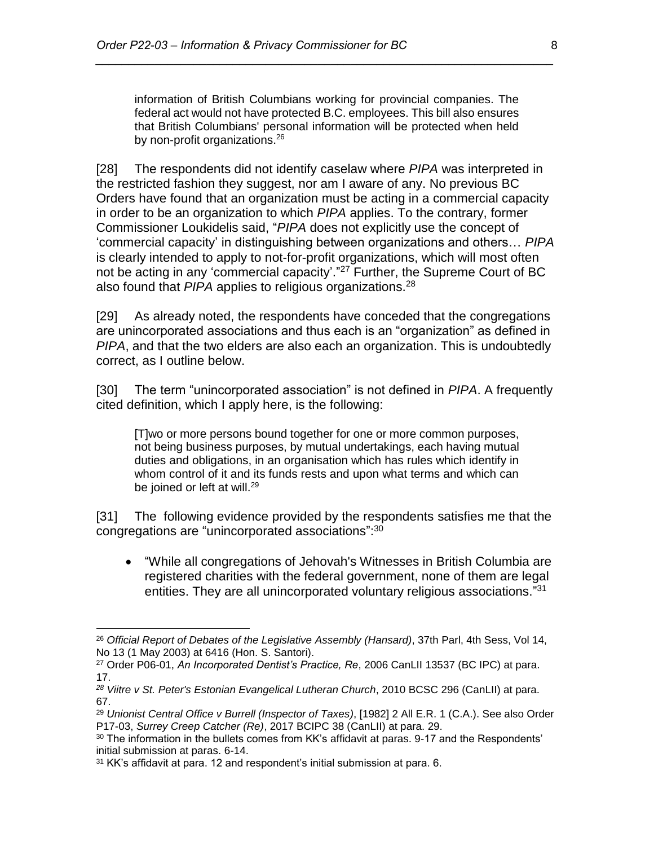information of British Columbians working for provincial companies. The federal act would not have protected B.C. employees. This bill also ensures that British Columbians' personal information will be protected when held by non-profit organizations.<sup>26</sup>

*\_\_\_\_\_\_\_\_\_\_\_\_\_\_\_\_\_\_\_\_\_\_\_\_\_\_\_\_\_\_\_\_\_\_\_\_\_\_\_\_\_\_\_\_\_\_\_\_\_\_\_\_\_\_\_\_\_\_\_\_\_\_\_\_\_\_\_\_\_\_*

[28] The respondents did not identify caselaw where *PIPA* was interpreted in the restricted fashion they suggest, nor am I aware of any. No previous BC Orders have found that an organization must be acting in a commercial capacity in order to be an organization to which *PIPA* applies. To the contrary, former Commissioner Loukidelis said, "*PIPA* does not explicitly use the concept of 'commercial capacity' in distinguishing between organizations and others… *PIPA* is clearly intended to apply to not-for-profit organizations, which will most often not be acting in any 'commercial capacity'."<sup>27</sup> Further, the Supreme Court of BC also found that *PIPA* applies to religious organizations.<sup>28</sup>

[29] As already noted, the respondents have conceded that the congregations are unincorporated associations and thus each is an "organization" as defined in *PIPA*, and that the two elders are also each an organization. This is undoubtedly correct, as I outline below.

[30] The term "unincorporated association" is not defined in *PIPA*. A frequently cited definition, which I apply here, is the following:

[T]wo or more persons bound together for one or more common purposes, not being business purposes, by mutual undertakings, each having mutual duties and obligations, in an organisation which has rules which identify in whom control of it and its funds rests and upon what terms and which can be joined or left at will.<sup>29</sup>

[31] The following evidence provided by the respondents satisfies me that the congregations are "unincorporated associations":<sup>30</sup>

• "While all congregations of Jehovah's Witnesses in British Columbia are registered charities with the federal government, none of them are legal entities. They are all unincorporated voluntary religious associations."31

<sup>26</sup> *Official Report of Debates of the Legislative Assembly (Hansard)*, 37th Parl, 4th Sess, Vol 14, No 13 (1 May 2003) at 6416 (Hon. S. Santori).

<sup>27</sup> Order P06-01, *An Incorporated Dentist's Practice, Re*, 2006 CanLII 13537 (BC IPC) at para. 17.

*<sup>28</sup> Viitre v St. Peter's Estonian Evangelical Lutheran Church*, 2010 BCSC 296 (CanLII) at para. 67.

<sup>29</sup> *Unionist Central Office v Burrell (Inspector of Taxes)*, [1982] 2 All E.R. 1 (C.A.). See also Order P17-03, *Surrey Creep Catcher (Re)*, 2017 BCIPC 38 (CanLII) at para. 29.

 $30$  The information in the bullets comes from KK's affidavit at paras. 9-17 and the Respondents' initial submission at paras. 6-14.

<sup>&</sup>lt;sup>31</sup> KK's affidavit at para. 12 and respondent's initial submission at para. 6.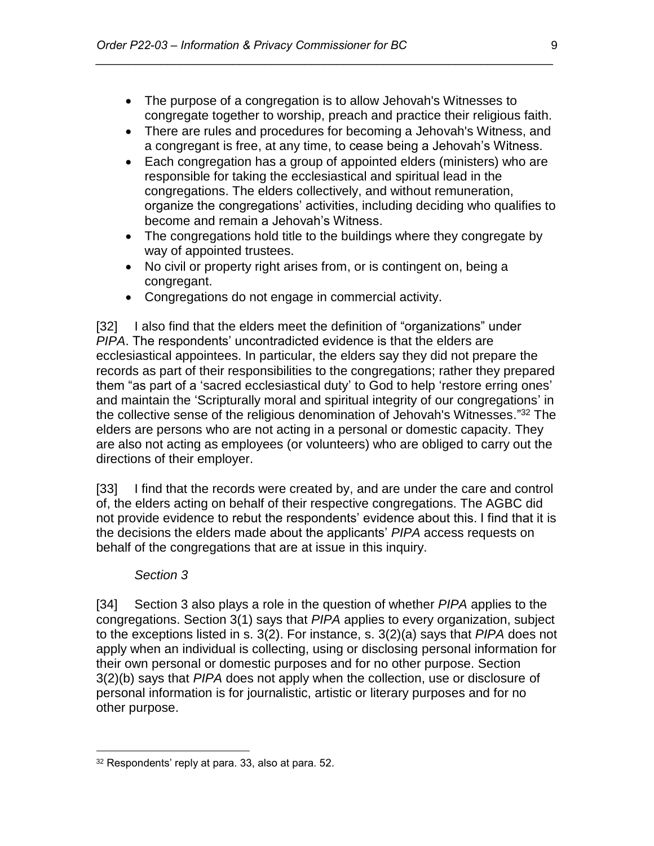• The purpose of a congregation is to allow Jehovah's Witnesses to congregate together to worship, preach and practice their religious faith.

*\_\_\_\_\_\_\_\_\_\_\_\_\_\_\_\_\_\_\_\_\_\_\_\_\_\_\_\_\_\_\_\_\_\_\_\_\_\_\_\_\_\_\_\_\_\_\_\_\_\_\_\_\_\_\_\_\_\_\_\_\_\_\_\_\_\_\_\_\_\_*

- There are rules and procedures for becoming a Jehovah's Witness, and a congregant is free, at any time, to cease being a Jehovah's Witness.
- Each congregation has a group of appointed elders (ministers) who are responsible for taking the ecclesiastical and spiritual lead in the congregations. The elders collectively, and without remuneration, organize the congregations' activities, including deciding who qualifies to become and remain a Jehovah's Witness.
- The congregations hold title to the buildings where they congregate by way of appointed trustees.
- No civil or property right arises from, or is contingent on, being a congregant.
- Congregations do not engage in commercial activity.

[32] I also find that the elders meet the definition of "organizations" under *PIPA*. The respondents' uncontradicted evidence is that the elders are ecclesiastical appointees. In particular, the elders say they did not prepare the records as part of their responsibilities to the congregations; rather they prepared them "as part of a 'sacred ecclesiastical duty' to God to help 'restore erring ones' and maintain the 'Scripturally moral and spiritual integrity of our congregations' in the collective sense of the religious denomination of Jehovah's Witnesses."<sup>32</sup> The elders are persons who are not acting in a personal or domestic capacity. They are also not acting as employees (or volunteers) who are obliged to carry out the directions of their employer.

[33] I find that the records were created by, and are under the care and control of, the elders acting on behalf of their respective congregations. The AGBC did not provide evidence to rebut the respondents' evidence about this. I find that it is the decisions the elders made about the applicants' *PIPA* access requests on behalf of the congregations that are at issue in this inquiry.

### *Section 3*

[34] Section 3 also plays a role in the question of whether *PIPA* applies to the congregations. Section 3(1) says that *PIPA* applies to every organization, subject to the exceptions listed in s. 3(2). For instance, s. 3(2)(a) says that *PIPA* does not apply when an individual is collecting, using or disclosing personal information for their own personal or domestic purposes and for no other purpose. Section 3(2)(b) says that *PIPA* does not apply when the collection, use or disclosure of personal information is for journalistic, artistic or literary purposes and for no other purpose.

 $\overline{a}$ <sup>32</sup> Respondents' reply at para. 33, also at para. 52.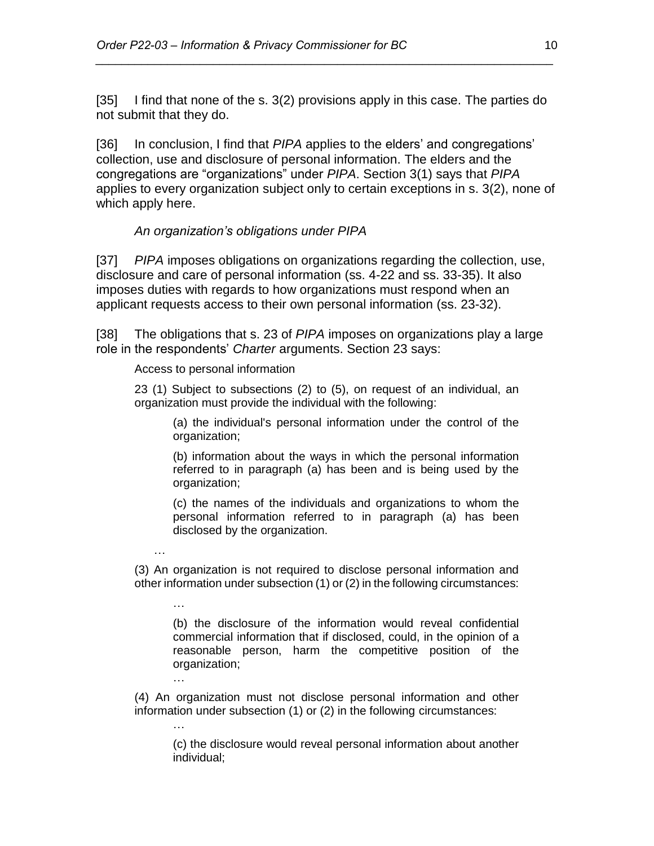[35] I find that none of the s. 3(2) provisions apply in this case. The parties do not submit that they do.

*\_\_\_\_\_\_\_\_\_\_\_\_\_\_\_\_\_\_\_\_\_\_\_\_\_\_\_\_\_\_\_\_\_\_\_\_\_\_\_\_\_\_\_\_\_\_\_\_\_\_\_\_\_\_\_\_\_\_\_\_\_\_\_\_\_\_\_\_\_\_*

[36] In conclusion, I find that *PIPA* applies to the elders' and congregations' collection, use and disclosure of personal information. The elders and the congregations are "organizations" under *PIPA*. Section 3(1) says that *PIPA* applies to every organization subject only to certain exceptions in s. 3(2), none of which apply here.

### *An organization's obligations under PIPA*

[37] *PIPA* imposes obligations on organizations regarding the collection, use, disclosure and care of personal information (ss. 4-22 and ss. 33-35). It also imposes duties with regards to how organizations must respond when an applicant requests access to their own personal information (ss. 23-32).

[38] The obligations that s. 23 of *PIPA* imposes on organizations play a large role in the respondents' *Charter* arguments. Section 23 says:

#### Access to personal information

…

…

…

…

23 (1) Subject to subsections (2) to (5), on request of an individual, an organization must provide the individual with the following:

(a) the individual's personal information under the control of the organization;

(b) information about the ways in which the personal information referred to in paragraph (a) has been and is being used by the organization;

(c) the names of the individuals and organizations to whom the personal information referred to in paragraph (a) has been disclosed by the organization.

(3) An organization is not required to disclose personal information and other information under subsection (1) or (2) in the following circumstances:

(b) the disclosure of the information would reveal confidential commercial information that if disclosed, could, in the opinion of a reasonable person, harm the competitive position of the organization;

(4) An organization must not disclose personal information and other information under subsection (1) or (2) in the following circumstances:

(c) the disclosure would reveal personal information about another individual;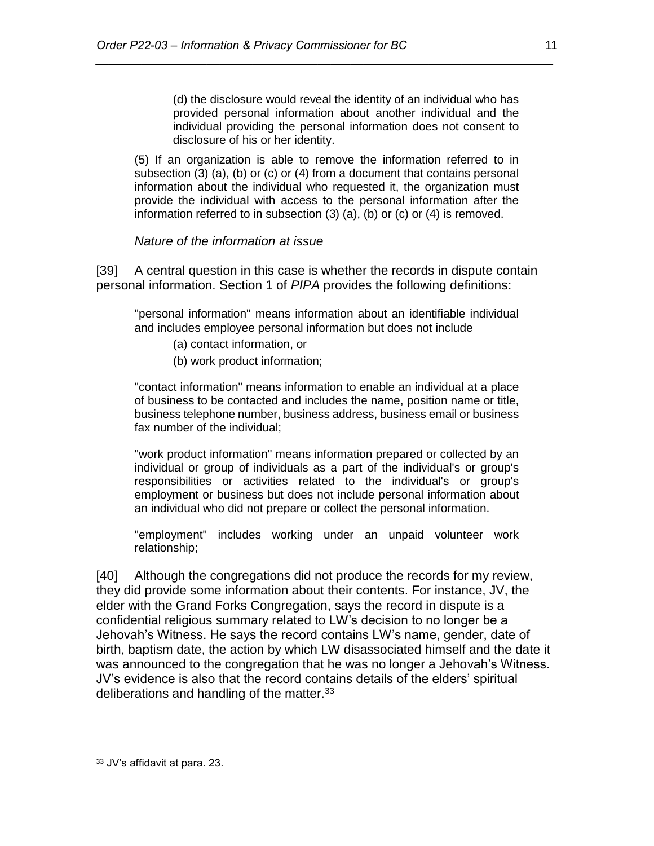(d) the disclosure would reveal the identity of an individual who has provided personal information about another individual and the individual providing the personal information does not consent to disclosure of his or her identity.

(5) If an organization is able to remove the information referred to in subsection (3) (a), (b) or (c) or (4) from a document that contains personal information about the individual who requested it, the organization must provide the individual with access to the personal information after the information referred to in subsection (3) (a), (b) or (c) or (4) is removed.

*\_\_\_\_\_\_\_\_\_\_\_\_\_\_\_\_\_\_\_\_\_\_\_\_\_\_\_\_\_\_\_\_\_\_\_\_\_\_\_\_\_\_\_\_\_\_\_\_\_\_\_\_\_\_\_\_\_\_\_\_\_\_\_\_\_\_\_\_\_\_*

*Nature of the information at issue*

[39] A central question in this case is whether the records in dispute contain personal information. Section 1 of *PIPA* provides the following definitions:

"personal information" means information about an identifiable individual and includes employee personal information but does not include

- (a) contact information, or
- (b) work product information;

"contact information" means information to enable an individual at a place of business to be contacted and includes the name, position name or title, business telephone number, business address, business email or business fax number of the individual;

"work product information" means information prepared or collected by an individual or group of individuals as a part of the individual's or group's responsibilities or activities related to the individual's or group's employment or business but does not include personal information about an individual who did not prepare or collect the personal information.

"employment" includes working under an unpaid volunteer work relationship;

[40] Although the congregations did not produce the records for my review, they did provide some information about their contents. For instance, JV, the elder with the Grand Forks Congregation, says the record in dispute is a confidential religious summary related to LW's decision to no longer be a Jehovah's Witness. He says the record contains LW's name, gender, date of birth, baptism date, the action by which LW disassociated himself and the date it was announced to the congregation that he was no longer a Jehovah's Witness. JV's evidence is also that the record contains details of the elders' spiritual deliberations and handling of the matter.  $33$ 

<sup>33</sup> JV's affidavit at para. 23.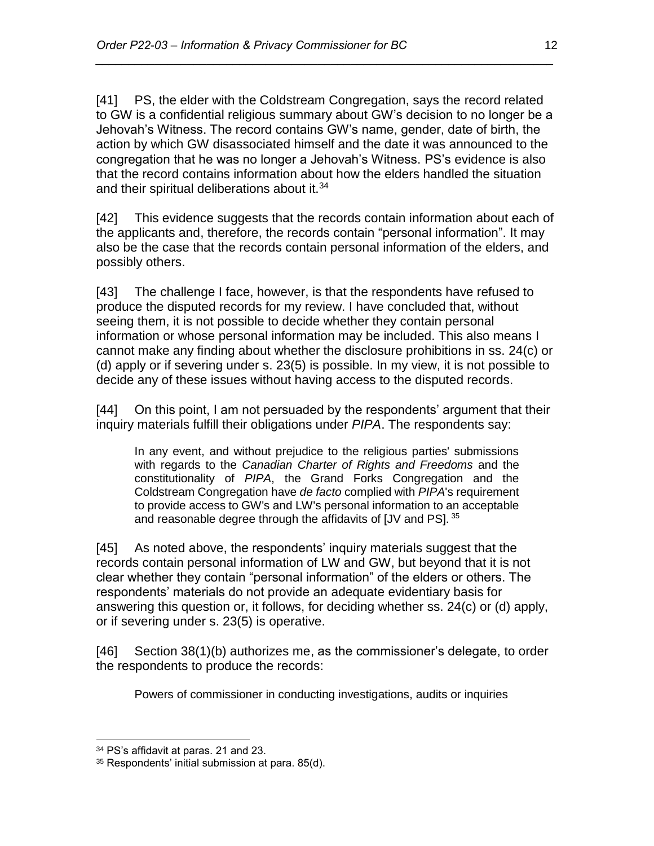[41] PS, the elder with the Coldstream Congregation, says the record related to GW is a confidential religious summary about GW's decision to no longer be a Jehovah's Witness. The record contains GW's name, gender, date of birth, the action by which GW disassociated himself and the date it was announced to the congregation that he was no longer a Jehovah's Witness. PS's evidence is also that the record contains information about how the elders handled the situation and their spiritual deliberations about it.<sup>34</sup>

*\_\_\_\_\_\_\_\_\_\_\_\_\_\_\_\_\_\_\_\_\_\_\_\_\_\_\_\_\_\_\_\_\_\_\_\_\_\_\_\_\_\_\_\_\_\_\_\_\_\_\_\_\_\_\_\_\_\_\_\_\_\_\_\_\_\_\_\_\_\_*

[42] This evidence suggests that the records contain information about each of the applicants and, therefore, the records contain "personal information". It may also be the case that the records contain personal information of the elders, and possibly others.

[43] The challenge I face, however, is that the respondents have refused to produce the disputed records for my review. I have concluded that, without seeing them, it is not possible to decide whether they contain personal information or whose personal information may be included. This also means I cannot make any finding about whether the disclosure prohibitions in ss. 24(c) or (d) apply or if severing under s. 23(5) is possible. In my view, it is not possible to decide any of these issues without having access to the disputed records.

[44] On this point, I am not persuaded by the respondents' argument that their inquiry materials fulfill their obligations under *PIPA*. The respondents say:

In any event, and without prejudice to the religious parties' submissions with regards to the *Canadian Charter of Rights and Freedoms* and the constitutionality of *PIPA*, the Grand Forks Congregation and the Coldstream Congregation have *de facto* complied with *PIPA*'s requirement to provide access to GW's and LW's personal information to an acceptable and reasonable degree through the affidavits of [JV and PS]. 35

[45] As noted above, the respondents' inquiry materials suggest that the records contain personal information of LW and GW, but beyond that it is not clear whether they contain "personal information" of the elders or others. The respondents' materials do not provide an adequate evidentiary basis for answering this question or, it follows, for deciding whether ss. 24(c) or (d) apply, or if severing under s. 23(5) is operative.

[46] Section 38(1)(b) authorizes me, as the commissioner's delegate, to order the respondents to produce the records:

Powers of commissioner in conducting investigations, audits or inquiries

<sup>34</sup> PS's affidavit at paras. 21 and 23.

<sup>35</sup> Respondents' initial submission at para. 85(d).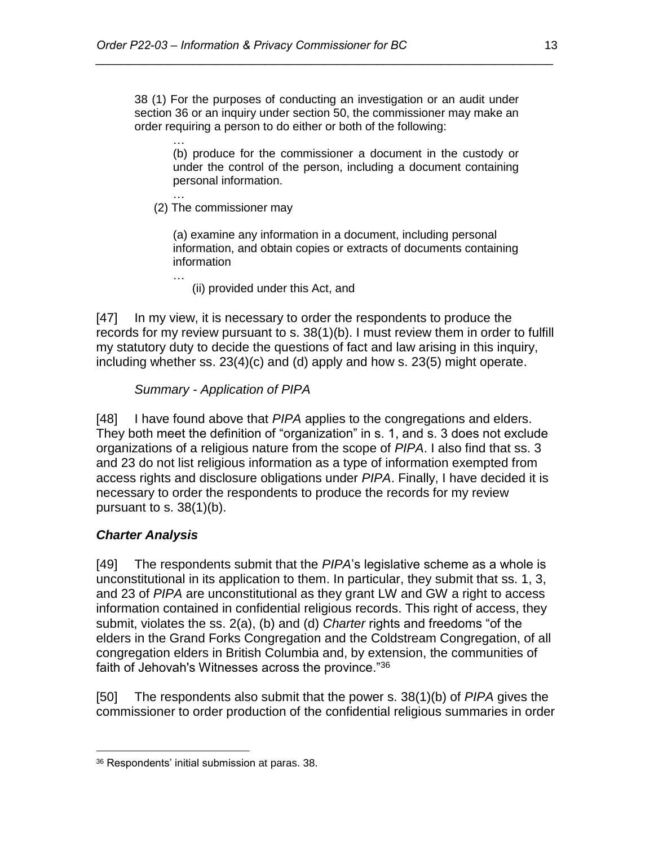38 (1) For the purposes of conducting an investigation or an audit under section 36 or an inquiry under section 50, the commissioner may make an order requiring a person to do either or both of the following:

*\_\_\_\_\_\_\_\_\_\_\_\_\_\_\_\_\_\_\_\_\_\_\_\_\_\_\_\_\_\_\_\_\_\_\_\_\_\_\_\_\_\_\_\_\_\_\_\_\_\_\_\_\_\_\_\_\_\_\_\_\_\_\_\_\_\_\_\_\_\_*

… (b) produce for the commissioner a document in the custody or under the control of the person, including a document containing personal information.

… (2) The commissioner may

…

(a) examine any information in a document, including personal information, and obtain copies or extracts of documents containing information

(ii) provided under this Act, and

[47] In my view, it is necessary to order the respondents to produce the records for my review pursuant to s. 38(1)(b). I must review them in order to fulfill my statutory duty to decide the questions of fact and law arising in this inquiry, including whether ss. 23(4)(c) and (d) apply and how s. 23(5) might operate.

*Summary - Application of PIPA* 

[48] I have found above that *PIPA* applies to the congregations and elders. They both meet the definition of "organization" in s. 1, and s. 3 does not exclude organizations of a religious nature from the scope of *PIPA*. I also find that ss. 3 and 23 do not list religious information as a type of information exempted from access rights and disclosure obligations under *PIPA*. Finally, I have decided it is necessary to order the respondents to produce the records for my review pursuant to s. 38(1)(b).

# *Charter Analysis*

 $\overline{a}$ 

[49] The respondents submit that the *PIPA*'s legislative scheme as a whole is unconstitutional in its application to them. In particular, they submit that ss. 1, 3, and 23 of *PIPA* are unconstitutional as they grant LW and GW a right to access information contained in confidential religious records. This right of access, they submit, violates the ss. 2(a), (b) and (d) *Charter* rights and freedoms "of the elders in the Grand Forks Congregation and the Coldstream Congregation, of all congregation elders in British Columbia and, by extension, the communities of faith of Jehovah's Witnesses across the province."<sup>36</sup>

[50] The respondents also submit that the power s. 38(1)(b) of *PIPA* gives the commissioner to order production of the confidential religious summaries in order

<sup>36</sup> Respondents' initial submission at paras. 38.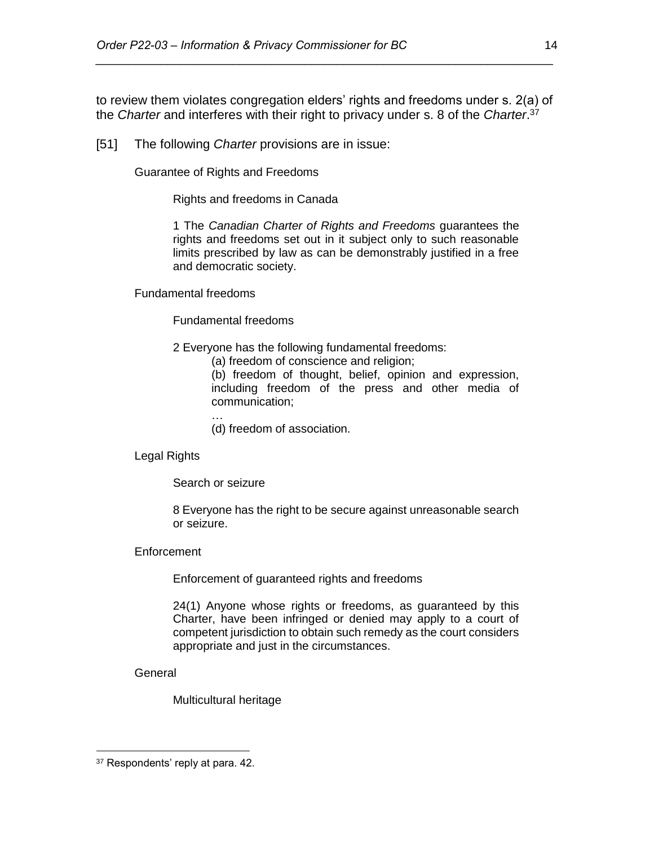to review them violates congregation elders' rights and freedoms under s. 2(a) of the *Charter* and interferes with their right to privacy under s. 8 of the *Charter*. 37

*\_\_\_\_\_\_\_\_\_\_\_\_\_\_\_\_\_\_\_\_\_\_\_\_\_\_\_\_\_\_\_\_\_\_\_\_\_\_\_\_\_\_\_\_\_\_\_\_\_\_\_\_\_\_\_\_\_\_\_\_\_\_\_\_\_\_\_\_\_\_*

[51] The following *Charter* provisions are in issue:

Guarantee of Rights and Freedoms

Rights and freedoms in Canada

1 The *Canadian Charter of Rights and Freedoms* guarantees the rights and freedoms set out in it subject only to such reasonable limits prescribed by law as can be demonstrably justified in a free and democratic society.

Fundamental freedoms

Fundamental freedoms

- 2 Everyone has the following fundamental freedoms:
	- (a) freedom of conscience and religion;

(b) freedom of thought, belief, opinion and expression, including freedom of the press and other media of communication;

… (d) freedom of association.

Legal Rights

Search or seizure

8 Everyone has the right to be secure against unreasonable search or seizure.

#### **Enforcement**

Enforcement of guaranteed rights and freedoms

24(1) Anyone whose rights or freedoms, as guaranteed by this Charter, have been infringed or denied may apply to a court of competent jurisdiction to obtain such remedy as the court considers appropriate and just in the circumstances.

General

 $\overline{a}$ 

Multicultural heritage

<sup>&</sup>lt;sup>37</sup> Respondents' reply at para. 42.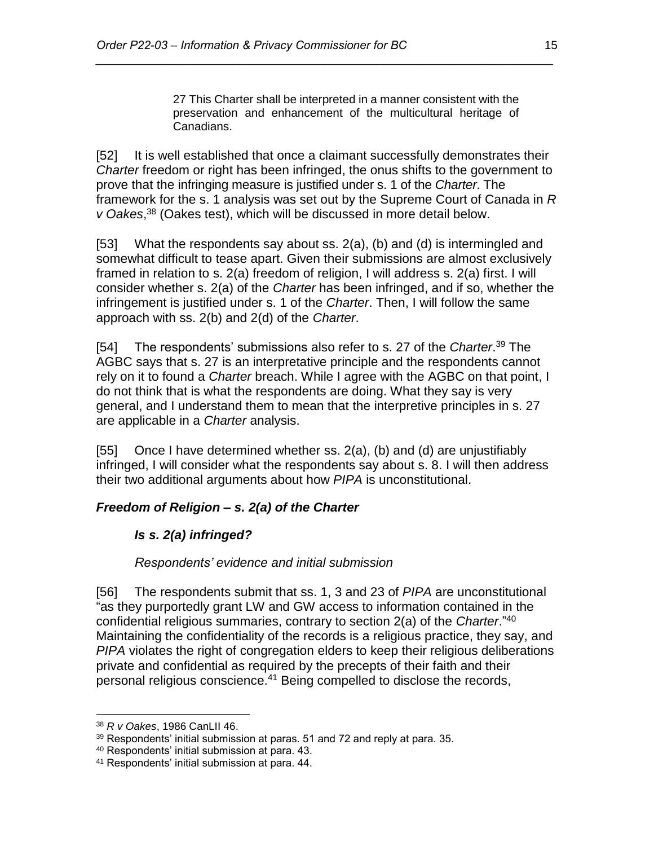27 This Charter shall be interpreted in a manner consistent with the preservation and enhancement of the multicultural heritage of Canadians.

[52] It is well established that once a claimant successfully demonstrates their *Charter* freedom or right has been infringed, the onus shifts to the government to prove that the infringing measure is justified under s. 1 of the *Charter*. The framework for the s. 1 analysis was set out by the Supreme Court of Canada in *R v Oakes*, <sup>38</sup> (Oakes test), which will be discussed in more detail below.

*\_\_\_\_\_\_\_\_\_\_\_\_\_\_\_\_\_\_\_\_\_\_\_\_\_\_\_\_\_\_\_\_\_\_\_\_\_\_\_\_\_\_\_\_\_\_\_\_\_\_\_\_\_\_\_\_\_\_\_\_\_\_\_\_\_\_\_\_\_\_*

[53] What the respondents say about ss. 2(a), (b) and (d) is intermingled and somewhat difficult to tease apart. Given their submissions are almost exclusively framed in relation to s. 2(a) freedom of religion, I will address s. 2(a) first. I will consider whether s. 2(a) of the *Charter* has been infringed, and if so, whether the infringement is justified under s. 1 of the *Charter*. Then, I will follow the same approach with ss. 2(b) and 2(d) of the *Charter*.

[54] The respondents' submissions also refer to s. 27 of the *Charter*. <sup>39</sup> The AGBC says that s. 27 is an interpretative principle and the respondents cannot rely on it to found a *Charter* breach. While I agree with the AGBC on that point, I do not think that is what the respondents are doing. What they say is very general, and I understand them to mean that the interpretive principles in s. 27 are applicable in a *Charter* analysis.

[55] Once I have determined whether ss. 2(a), (b) and (d) are unjustifiably infringed, I will consider what the respondents say about s. 8. I will then address their two additional arguments about how *PIPA* is unconstitutional.

# *Freedom of Religion – s. 2(a) of the Charter*

# *Is s. 2(a) infringed?*

*Respondents' evidence and initial submission*

[56] The respondents submit that ss. 1, 3 and 23 of *PIPA* are unconstitutional "as they purportedly grant LW and GW access to information contained in the confidential religious summaries, contrary to section 2(a) of the *Charter*."<sup>40</sup> Maintaining the confidentiality of the records is a religious practice, they say, and *PIPA* violates the right of congregation elders to keep their religious deliberations private and confidential as required by the precepts of their faith and their personal religious conscience.<sup>41</sup> Being compelled to disclose the records,

 $\overline{a}$ <sup>38</sup> *R v Oakes*, 1986 CanLII 46.

<sup>39</sup> Respondents' initial submission at paras. 51 and 72 and reply at para. 35.

<sup>40</sup> Respondents' initial submission at para. 43.

<sup>41</sup> Respondents' initial submission at para. 44.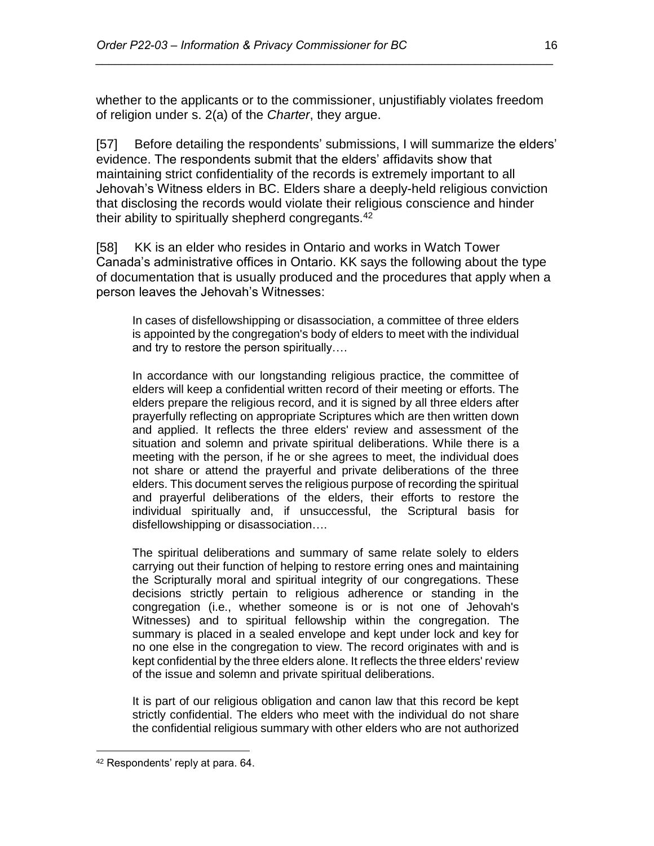whether to the applicants or to the commissioner, unjustifiably violates freedom of religion under s. 2(a) of the *Charter*, they argue.

*\_\_\_\_\_\_\_\_\_\_\_\_\_\_\_\_\_\_\_\_\_\_\_\_\_\_\_\_\_\_\_\_\_\_\_\_\_\_\_\_\_\_\_\_\_\_\_\_\_\_\_\_\_\_\_\_\_\_\_\_\_\_\_\_\_\_\_\_\_\_*

[57] Before detailing the respondents' submissions, I will summarize the elders' evidence. The respondents submit that the elders' affidavits show that maintaining strict confidentiality of the records is extremely important to all Jehovah's Witness elders in BC. Elders share a deeply-held religious conviction that disclosing the records would violate their religious conscience and hinder their ability to spiritually shepherd congregants.<sup>42</sup>

[58] KK is an elder who resides in Ontario and works in Watch Tower Canada's administrative offices in Ontario. KK says the following about the type of documentation that is usually produced and the procedures that apply when a person leaves the Jehovah's Witnesses:

In cases of disfellowshipping or disassociation, a committee of three elders is appointed by the congregation's body of elders to meet with the individual and try to restore the person spiritually….

In accordance with our longstanding religious practice, the committee of elders will keep a confidential written record of their meeting or efforts. The elders prepare the religious record, and it is signed by all three elders after prayerfully reflecting on appropriate Scriptures which are then written down and applied. It reflects the three elders' review and assessment of the situation and solemn and private spiritual deliberations. While there is a meeting with the person, if he or she agrees to meet, the individual does not share or attend the prayerful and private deliberations of the three elders. This document serves the religious purpose of recording the spiritual and prayerful deliberations of the elders, their efforts to restore the individual spiritually and, if unsuccessful, the Scriptural basis for disfellowshipping or disassociation….

The spiritual deliberations and summary of same relate solely to elders carrying out their function of helping to restore erring ones and maintaining the Scripturally moral and spiritual integrity of our congregations. These decisions strictly pertain to religious adherence or standing in the congregation (i.e., whether someone is or is not one of Jehovah's Witnesses) and to spiritual fellowship within the congregation. The summary is placed in a sealed envelope and kept under lock and key for no one else in the congregation to view. The record originates with and is kept confidential by the three elders alone. It reflects the three elders' review of the issue and solemn and private spiritual deliberations.

It is part of our religious obligation and canon law that this record be kept strictly confidential. The elders who meet with the individual do not share the confidential religious summary with other elders who are not authorized

<sup>42</sup> Respondents' reply at para. 64.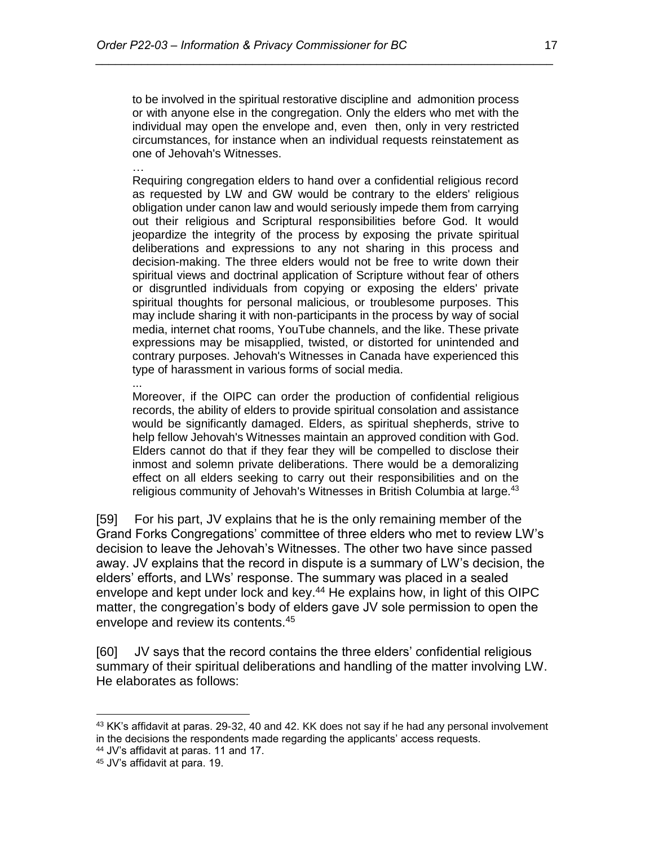to be involved in the spiritual restorative discipline and admonition process or with anyone else in the congregation. Only the elders who met with the individual may open the envelope and, even then, only in very restricted circumstances, for instance when an individual requests reinstatement as one of Jehovah's Witnesses.

*\_\_\_\_\_\_\_\_\_\_\_\_\_\_\_\_\_\_\_\_\_\_\_\_\_\_\_\_\_\_\_\_\_\_\_\_\_\_\_\_\_\_\_\_\_\_\_\_\_\_\_\_\_\_\_\_\_\_\_\_\_\_\_\_\_\_\_\_\_\_*

… Requiring congregation elders to hand over a confidential religious record as requested by LW and GW would be contrary to the elders' religious obligation under canon law and would seriously impede them from carrying out their religious and Scriptural responsibilities before God. It would jeopardize the integrity of the process by exposing the private spiritual deliberations and expressions to any not sharing in this process and decision-making. The three elders would not be free to write down their spiritual views and doctrinal application of Scripture without fear of others or disgruntled individuals from copying or exposing the elders' private spiritual thoughts for personal malicious, or troublesome purposes. This may include sharing it with non-participants in the process by way of social media, internet chat rooms, YouTube channels, and the like. These private expressions may be misapplied, twisted, or distorted for unintended and contrary purposes. Jehovah's Witnesses in Canada have experienced this type of harassment in various forms of social media.

Moreover, if the OIPC can order the production of confidential religious records, the ability of elders to provide spiritual consolation and assistance would be significantly damaged. Elders, as spiritual shepherds, strive to help fellow Jehovah's Witnesses maintain an approved condition with God. Elders cannot do that if they fear they will be compelled to disclose their inmost and solemn private deliberations. There would be a demoralizing effect on all elders seeking to carry out their responsibilities and on the religious community of Jehovah's Witnesses in British Columbia at large.<sup>43</sup>

[59] For his part, JV explains that he is the only remaining member of the Grand Forks Congregations' committee of three elders who met to review LW's decision to leave the Jehovah's Witnesses. The other two have since passed away. JV explains that the record in dispute is a summary of LW's decision, the elders' efforts, and LWs' response. The summary was placed in a sealed envelope and kept under lock and key.<sup>44</sup> He explains how, in light of this OIPC matter, the congregation's body of elders gave JV sole permission to open the envelope and review its contents.<sup>45</sup>

[60] JV says that the record contains the three elders' confidential religious summary of their spiritual deliberations and handling of the matter involving LW. He elaborates as follows:

 $\overline{a}$ 

...

<sup>&</sup>lt;sup>43</sup> KK's affidavit at paras. 29-32, 40 and 42. KK does not say if he had any personal involvement in the decisions the respondents made regarding the applicants' access requests.

<sup>44</sup> JV's affidavit at paras. 11 and 17.

<sup>45</sup> JV's affidavit at para. 19.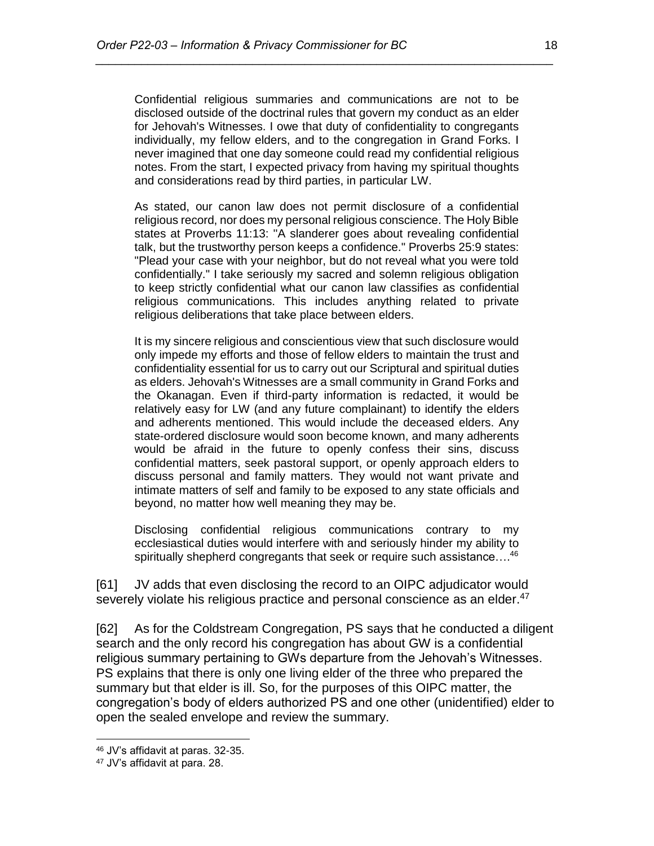Confidential religious summaries and communications are not to be disclosed outside of the doctrinal rules that govern my conduct as an elder for Jehovah's Witnesses. I owe that duty of confidentiality to congregants individually, my fellow elders, and to the congregation in Grand Forks. I never imagined that one day someone could read my confidential religious notes. From the start, I expected privacy from having my spiritual thoughts and considerations read by third parties, in particular LW.

*\_\_\_\_\_\_\_\_\_\_\_\_\_\_\_\_\_\_\_\_\_\_\_\_\_\_\_\_\_\_\_\_\_\_\_\_\_\_\_\_\_\_\_\_\_\_\_\_\_\_\_\_\_\_\_\_\_\_\_\_\_\_\_\_\_\_\_\_\_\_*

As stated, our canon law does not permit disclosure of a confidential religious record, nor does my personal religious conscience. The Holy Bible states at Proverbs 11:13: ''A slanderer goes about revealing confidential talk, but the trustworthy person keeps a confidence." Proverbs 25:9 states: "Plead your case with your neighbor, but do not reveal what you were told confidentially." I take seriously my sacred and solemn religious obligation to keep strictly confidential what our canon law classifies as confidential religious communications. This includes anything related to private religious deliberations that take place between elders.

It is my sincere religious and conscientious view that such disclosure would only impede my efforts and those of fellow elders to maintain the trust and confidentiality essential for us to carry out our Scriptural and spiritual duties as elders. Jehovah's Witnesses are a small community in Grand Forks and the Okanagan. Even if third-party information is redacted, it would be relatively easy for LW (and any future complainant) to identify the elders and adherents mentioned. This would include the deceased elders. Any state-ordered disclosure would soon become known, and many adherents would be afraid in the future to openly confess their sins, discuss confidential matters, seek pastoral support, or openly approach elders to discuss personal and family matters. They would not want private and intimate matters of self and family to be exposed to any state officials and beyond, no matter how well meaning they may be.

Disclosing confidential religious communications contrary to my ecclesiastical duties would interfere with and seriously hinder my ability to spiritually shepherd congregants that seek or require such assistance....<sup>46</sup>

[61] JV adds that even disclosing the record to an OIPC adjudicator would severely violate his religious practice and personal conscience as an elder.<sup>47</sup>

[62] As for the Coldstream Congregation, PS says that he conducted a diligent search and the only record his congregation has about GW is a confidential religious summary pertaining to GWs departure from the Jehovah's Witnesses. PS explains that there is only one living elder of the three who prepared the summary but that elder is ill. So, for the purposes of this OIPC matter, the congregation's body of elders authorized PS and one other (unidentified) elder to open the sealed envelope and review the summary.

<sup>46</sup> JV's affidavit at paras. 32-35.

<sup>47</sup> JV's affidavit at para. 28.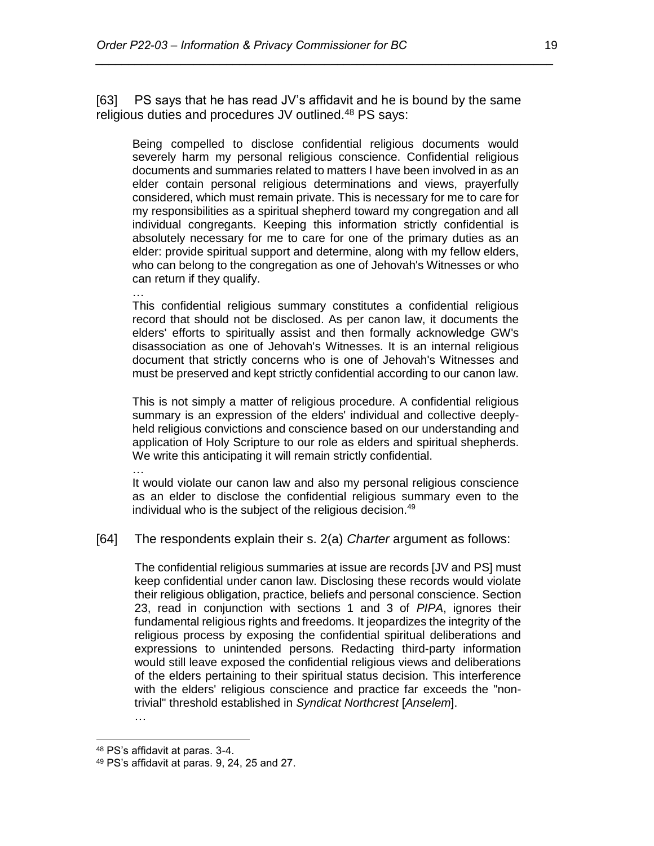[63] PS says that he has read JV's affidavit and he is bound by the same religious duties and procedures JV outlined.<sup>48</sup> PS says:

*\_\_\_\_\_\_\_\_\_\_\_\_\_\_\_\_\_\_\_\_\_\_\_\_\_\_\_\_\_\_\_\_\_\_\_\_\_\_\_\_\_\_\_\_\_\_\_\_\_\_\_\_\_\_\_\_\_\_\_\_\_\_\_\_\_\_\_\_\_\_*

Being compelled to disclose confidential religious documents would severely harm my personal religious conscience. Confidential religious documents and summaries related to matters I have been involved in as an elder contain personal religious determinations and views, prayerfully considered, which must remain private. This is necessary for me to care for my responsibilities as a spiritual shepherd toward my congregation and all individual congregants. Keeping this information strictly confidential is absolutely necessary for me to care for one of the primary duties as an elder: provide spiritual support and determine, along with my fellow elders, who can belong to the congregation as one of Jehovah's Witnesses or who can return if they qualify.

… This confidential religious summary constitutes a confidential religious record that should not be disclosed. As per canon law, it documents the elders' efforts to spiritually assist and then formally acknowledge GW's disassociation as one of Jehovah's Witnesses. It is an internal religious document that strictly concerns who is one of Jehovah's Witnesses and must be preserved and kept strictly confidential according to our canon law.

This is not simply a matter of religious procedure. A confidential religious summary is an expression of the elders' individual and collective deeplyheld religious convictions and conscience based on our understanding and application of Holy Scripture to our role as elders and spiritual shepherds. We write this anticipating it will remain strictly confidential.

It would violate our canon law and also my personal religious conscience as an elder to disclose the confidential religious summary even to the individual who is the subject of the religious decision.<sup>49</sup>

[64] The respondents explain their s. 2(a) *Charter* argument as follows:

The confidential religious summaries at issue are records [JV and PS] must keep confidential under canon law. Disclosing these records would violate their religious obligation, practice, beliefs and personal conscience. Section 23, read in conjunction with sections 1 and 3 of *PIPA*, ignores their fundamental religious rights and freedoms. It jeopardizes the integrity of the religious process by exposing the confidential spiritual deliberations and expressions to unintended persons. Redacting third-party information would still leave exposed the confidential religious views and deliberations of the elders pertaining to their spiritual status decision. This interference with the elders' religious conscience and practice far exceeds the "nontrivial" threshold established in *Syndicat Northcrest* [*Anselem*].

…

 $\overline{a}$ 

…

<sup>48</sup> PS's affidavit at paras. 3-4.

<sup>49</sup> PS's affidavit at paras. 9, 24, 25 and 27.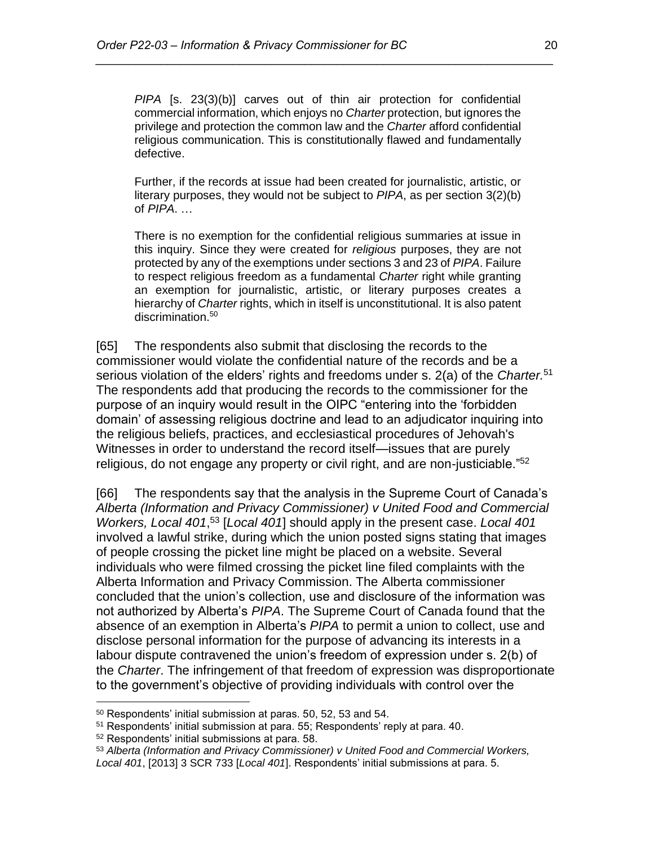*PIPA* [s. 23(3)(b)] carves out of thin air protection for confidential commercial information, which enjoys no *Charter* protection, but ignores the privilege and protection the common law and the *Charter* afford confidential religious communication. This is constitutionally flawed and fundamentally defective.

*\_\_\_\_\_\_\_\_\_\_\_\_\_\_\_\_\_\_\_\_\_\_\_\_\_\_\_\_\_\_\_\_\_\_\_\_\_\_\_\_\_\_\_\_\_\_\_\_\_\_\_\_\_\_\_\_\_\_\_\_\_\_\_\_\_\_\_\_\_\_*

Further, if the records at issue had been created for journalistic, artistic, or literary purposes, they would not be subject to *PIPA*, as per section 3(2)(b) of *PIPA*. …

There is no exemption for the confidential religious summaries at issue in this inquiry. Since they were created for *religious* purposes, they are not protected by any of the exemptions under sections 3 and 23 of *PIPA*. Failure to respect religious freedom as a fundamental *Charter* right while granting an exemption for journalistic, artistic, or literary purposes creates a hierarchy of *Charter* rights, which in itself is unconstitutional. It is also patent discrimination.<sup>50</sup>

[65] The respondents also submit that disclosing the records to the commissioner would violate the confidential nature of the records and be a serious violation of the elders' rights and freedoms under s. 2(a) of the *Charter.* 51 The respondents add that producing the records to the commissioner for the purpose of an inquiry would result in the OIPC "entering into the 'forbidden domain' of assessing religious doctrine and lead to an adjudicator inquiring into the religious beliefs, practices, and ecclesiastical procedures of Jehovah's Witnesses in order to understand the record itself—issues that are purely religious, do not engage any property or civil right, and are non-justiciable."<sup>52</sup>

[66] The respondents say that the analysis in the Supreme Court of Canada's *Alberta (Information and Privacy Commissioner) v United Food and Commercial Workers, Local 401*, <sup>53</sup> [*Local 401*] should apply in the present case. *Local 401* involved a lawful strike, during which the union posted signs stating that images of people crossing the picket line might be placed on a website. Several individuals who were filmed crossing the picket line filed complaints with the Alberta Information and Privacy Commission. The Alberta commissioner concluded that the union's collection, use and disclosure of the information was not authorized by Alberta's *PIPA*. The Supreme Court of Canada found that the absence of an exemption in Alberta's *PIPA* to permit a union to collect, use and disclose personal information for the purpose of advancing its interests in a labour dispute contravened the union's freedom of expression under s. 2(b) of the *Charter*. The infringement of that freedom of expression was disproportionate to the government's objective of providing individuals with control over the

<sup>50</sup> Respondents' initial submission at paras. 50, 52, 53 and 54.

<sup>51</sup> Respondents' initial submission at para. 55; Respondents' reply at para. 40.

<sup>52</sup> Respondents' initial submissions at para. 58.

<sup>53</sup> *Alberta (Information and Privacy Commissioner) v United Food and Commercial Workers, Local 401*, [2013] 3 SCR 733 [*Local 401*]. Respondents' initial submissions at para. 5.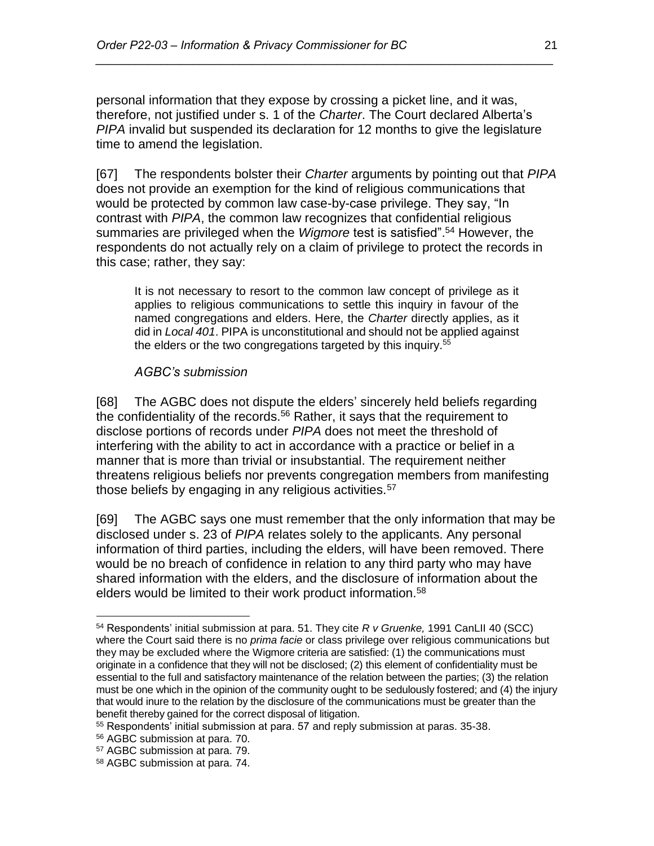personal information that they expose by crossing a picket line, and it was, therefore, not justified under s. 1 of the *Charter*. The Court declared Alberta's *PIPA* invalid but suspended its declaration for 12 months to give the legislature time to amend the legislation.

*\_\_\_\_\_\_\_\_\_\_\_\_\_\_\_\_\_\_\_\_\_\_\_\_\_\_\_\_\_\_\_\_\_\_\_\_\_\_\_\_\_\_\_\_\_\_\_\_\_\_\_\_\_\_\_\_\_\_\_\_\_\_\_\_\_\_\_\_\_\_*

[67] The respondents bolster their *Charter* arguments by pointing out that *PIPA* does not provide an exemption for the kind of religious communications that would be protected by common law case-by-case privilege. They say, "In contrast with *PIPA*, the common law recognizes that confidential religious summaries are privileged when the *Wigmore* test is satisfied". <sup>54</sup> However, the respondents do not actually rely on a claim of privilege to protect the records in this case; rather, they say:

It is not necessary to resort to the common law concept of privilege as it applies to religious communications to settle this inquiry in favour of the named congregations and elders. Here, the *Charter* directly applies, as it did in *Local 401*. PIPA is unconstitutional and should not be applied against the elders or the two congregations targeted by this inquiry.<sup>55</sup>

#### *AGBC's submission*

[68] The AGBC does not dispute the elders' sincerely held beliefs regarding the confidentiality of the records.<sup>56</sup> Rather, it says that the requirement to disclose portions of records under *PIPA* does not meet the threshold of interfering with the ability to act in accordance with a practice or belief in a manner that is more than trivial or insubstantial. The requirement neither threatens religious beliefs nor prevents congregation members from manifesting those beliefs by engaging in any religious activities.<sup>57</sup>

[69] The AGBC says one must remember that the only information that may be disclosed under s. 23 of *PIPA* relates solely to the applicants. Any personal information of third parties, including the elders, will have been removed. There would be no breach of confidence in relation to any third party who may have shared information with the elders, and the disclosure of information about the elders would be limited to their work product information.<sup>58</sup>

<sup>54</sup> Respondents' initial submission at para. 51. They cite *R v Gruenke,* 1991 CanLII 40 (SCC) where the Court said there is no *prima facie* or class privilege over religious communications but they may be excluded where the Wigmore criteria are satisfied: (1) the communications must originate in a confidence that they will not be disclosed; (2) this element of confidentiality must be essential to the full and satisfactory maintenance of the relation between the parties; (3) the relation must be one which in the opinion of the community ought to be sedulously fostered; and (4) the injury that would inure to the relation by the disclosure of the communications must be greater than the benefit thereby gained for the correct disposal of litigation.

<sup>55</sup> Respondents' initial submission at para. 57 and reply submission at paras. 35-38.

<sup>56</sup> AGBC submission at para. 70.

<sup>57</sup> AGBC submission at para. 79.

<sup>58</sup> AGBC submission at para. 74.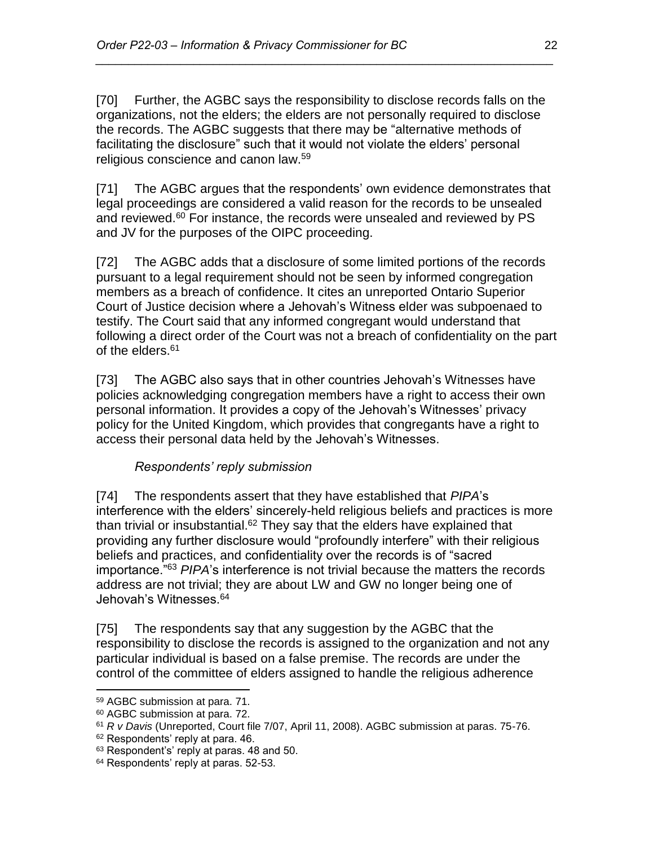[70] Further, the AGBC says the responsibility to disclose records falls on the organizations, not the elders; the elders are not personally required to disclose the records. The AGBC suggests that there may be "alternative methods of facilitating the disclosure" such that it would not violate the elders' personal religious conscience and canon law.<sup>59</sup>

*\_\_\_\_\_\_\_\_\_\_\_\_\_\_\_\_\_\_\_\_\_\_\_\_\_\_\_\_\_\_\_\_\_\_\_\_\_\_\_\_\_\_\_\_\_\_\_\_\_\_\_\_\_\_\_\_\_\_\_\_\_\_\_\_\_\_\_\_\_\_*

[71] The AGBC argues that the respondents' own evidence demonstrates that legal proceedings are considered a valid reason for the records to be unsealed and reviewed. $60$  For instance, the records were unsealed and reviewed by PS and JV for the purposes of the OIPC proceeding.

[72] The AGBC adds that a disclosure of some limited portions of the records pursuant to a legal requirement should not be seen by informed congregation members as a breach of confidence. It cites an unreported Ontario Superior Court of Justice decision where a Jehovah's Witness elder was subpoenaed to testify. The Court said that any informed congregant would understand that following a direct order of the Court was not a breach of confidentiality on the part of the elders.<sup>61</sup>

[73] The AGBC also says that in other countries Jehovah's Witnesses have policies acknowledging congregation members have a right to access their own personal information. It provides a copy of the Jehovah's Witnesses' privacy policy for the United Kingdom, which provides that congregants have a right to access their personal data held by the Jehovah's Witnesses.

# *Respondents' reply submission*

[74] The respondents assert that they have established that *PIPA*'s interference with the elders' sincerely-held religious beliefs and practices is more than trivial or insubstantial.<sup>62</sup> They say that the elders have explained that providing any further disclosure would "profoundly interfere" with their religious beliefs and practices, and confidentiality over the records is of "sacred importance."<sup>63</sup> *PIPA*'s interference is not trivial because the matters the records address are not trivial; they are about LW and GW no longer being one of Jehovah's Witnesses.<sup>64</sup>

[75] The respondents say that any suggestion by the AGBC that the responsibility to disclose the records is assigned to the organization and not any particular individual is based on a false premise. The records are under the control of the committee of elders assigned to handle the religious adherence

<sup>59</sup> AGBC submission at para. 71.

<sup>60</sup> AGBC submission at para. 72.

<sup>61</sup> *R v Davis* (Unreported, Court file 7/07, April 11, 2008). AGBC submission at paras. 75-76.

<sup>62</sup> Respondents' reply at para. 46.

<sup>63</sup> Respondent's' reply at paras. 48 and 50.

<sup>&</sup>lt;sup>64</sup> Respondents' reply at paras. 52-53.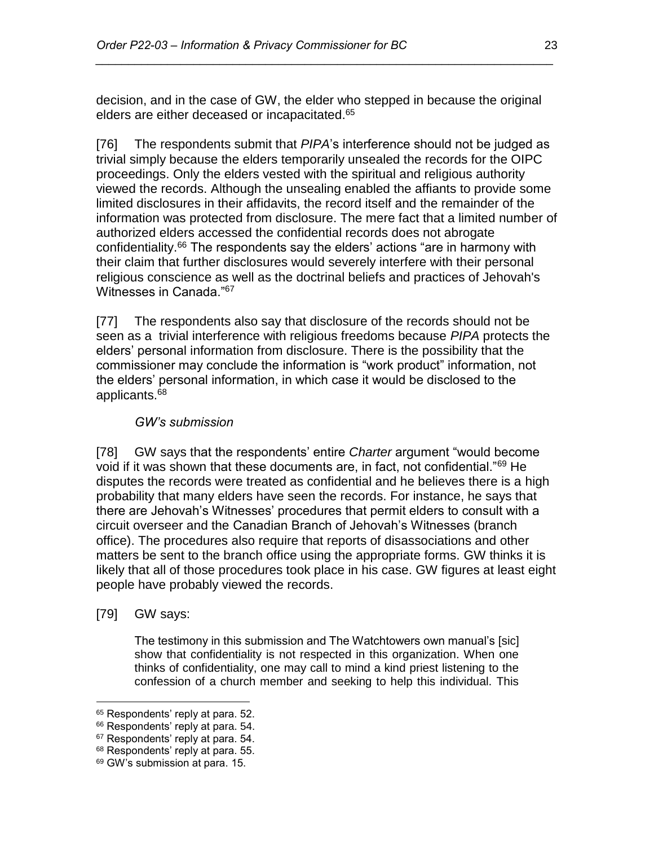decision, and in the case of GW, the elder who stepped in because the original elders are either deceased or incapacitated. 65

*\_\_\_\_\_\_\_\_\_\_\_\_\_\_\_\_\_\_\_\_\_\_\_\_\_\_\_\_\_\_\_\_\_\_\_\_\_\_\_\_\_\_\_\_\_\_\_\_\_\_\_\_\_\_\_\_\_\_\_\_\_\_\_\_\_\_\_\_\_\_*

[76] The respondents submit that *PIPA*'s interference should not be judged as trivial simply because the elders temporarily unsealed the records for the OIPC proceedings. Only the elders vested with the spiritual and religious authority viewed the records. Although the unsealing enabled the affiants to provide some limited disclosures in their affidavits, the record itself and the remainder of the information was protected from disclosure. The mere fact that a limited number of authorized elders accessed the confidential records does not abrogate confidentiality.<sup>66</sup> The respondents say the elders' actions "are in harmony with their claim that further disclosures would severely interfere with their personal religious conscience as well as the doctrinal beliefs and practices of Jehovah's Witnesses in Canada."<sup>67</sup>

[77] The respondents also say that disclosure of the records should not be seen as a trivial interference with religious freedoms because *PIPA* protects the elders' personal information from disclosure. There is the possibility that the commissioner may conclude the information is "work product" information, not the elders' personal information, in which case it would be disclosed to the applicants.<sup>68</sup>

### *GW's submission*

[78] GW says that the respondents' entire *Charter* argument "would become void if it was shown that these documents are, in fact, not confidential."<sup>69</sup> He disputes the records were treated as confidential and he believes there is a high probability that many elders have seen the records. For instance, he says that there are Jehovah's Witnesses' procedures that permit elders to consult with a circuit overseer and the Canadian Branch of Jehovah's Witnesses (branch office). The procedures also require that reports of disassociations and other matters be sent to the branch office using the appropriate forms. GW thinks it is likely that all of those procedures took place in his case. GW figures at least eight people have probably viewed the records.

[79] GW says:

 $\overline{a}$ 

The testimony in this submission and The Watchtowers own manual's [sic] show that confidentiality is not respected in this organization. When one thinks of confidentiality, one may call to mind a kind priest listening to the confession of a church member and seeking to help this individual. This

<sup>&</sup>lt;sup>65</sup> Respondents' reply at para. 52.

<sup>&</sup>lt;sup>66</sup> Respondents' reply at para. 54.

<sup>&</sup>lt;sup>67</sup> Respondents' reply at para. 54.

<sup>68</sup> Respondents' reply at para. 55.

<sup>69</sup> GW's submission at para. 15.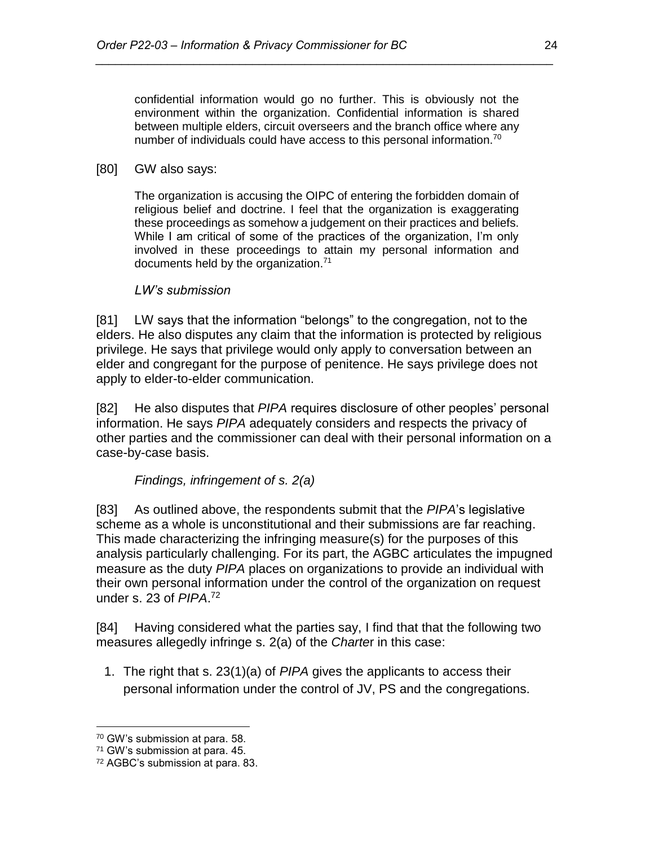confidential information would go no further. This is obviously not the environment within the organization. Confidential information is shared between multiple elders, circuit overseers and the branch office where any number of individuals could have access to this personal information.<sup>70</sup>

*\_\_\_\_\_\_\_\_\_\_\_\_\_\_\_\_\_\_\_\_\_\_\_\_\_\_\_\_\_\_\_\_\_\_\_\_\_\_\_\_\_\_\_\_\_\_\_\_\_\_\_\_\_\_\_\_\_\_\_\_\_\_\_\_\_\_\_\_\_\_*

#### [80] GW also says:

The organization is accusing the OIPC of entering the forbidden domain of religious belief and doctrine. I feel that the organization is exaggerating these proceedings as somehow a judgement on their practices and beliefs. While I am critical of some of the practices of the organization, I'm only involved in these proceedings to attain my personal information and documents held by the organization.<sup>71</sup>

### *LW's submission*

[81] LW says that the information "belongs" to the congregation, not to the elders. He also disputes any claim that the information is protected by religious privilege. He says that privilege would only apply to conversation between an elder and congregant for the purpose of penitence. He says privilege does not apply to elder-to-elder communication.

[82] He also disputes that *PIPA* requires disclosure of other peoples' personal information. He says *PIPA* adequately considers and respects the privacy of other parties and the commissioner can deal with their personal information on a case-by-case basis.

*Findings, infringement of s. 2(a)*

[83] As outlined above, the respondents submit that the *PIPA*'s legislative scheme as a whole is unconstitutional and their submissions are far reaching. This made characterizing the infringing measure(s) for the purposes of this analysis particularly challenging. For its part, the AGBC articulates the impugned measure as the duty *PIPA* places on organizations to provide an individual with their own personal information under the control of the organization on request under s. 23 of *PIPA*. 72

[84] Having considered what the parties say, I find that that the following two measures allegedly infringe s. 2(a) of the *Charte*r in this case:

1. The right that s. 23(1)(a) of *PIPA* gives the applicants to access their personal information under the control of JV, PS and the congregations.

<sup>70</sup> GW's submission at para. 58.

<sup>71</sup> GW's submission at para. 45.

<sup>72</sup> AGBC's submission at para. 83.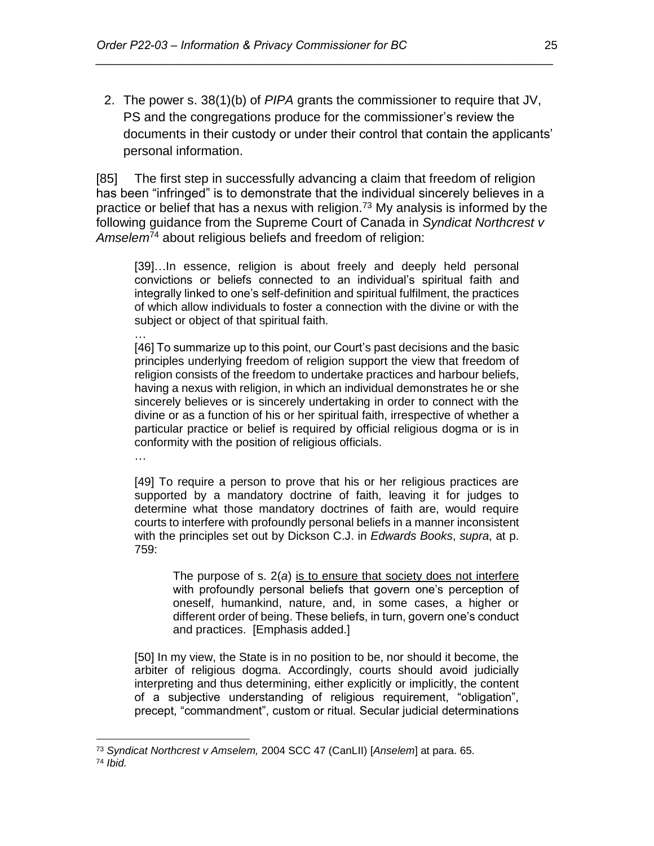2. The power s. 38(1)(b) of *PIPA* grants the commissioner to require that JV, PS and the congregations produce for the commissioner's review the documents in their custody or under their control that contain the applicants' personal information.

*\_\_\_\_\_\_\_\_\_\_\_\_\_\_\_\_\_\_\_\_\_\_\_\_\_\_\_\_\_\_\_\_\_\_\_\_\_\_\_\_\_\_\_\_\_\_\_\_\_\_\_\_\_\_\_\_\_\_\_\_\_\_\_\_\_\_\_\_\_\_*

[85] The first step in successfully advancing a claim that freedom of religion has been "infringed" is to demonstrate that the individual sincerely believes in a practice or belief that has a nexus with religion.<sup>73</sup> My analysis is informed by the following guidance from the Supreme Court of Canada in *Syndicat Northcrest v Amselem*<sup>74</sup> about religious beliefs and freedom of religion:

[39]...In essence, religion is about freely and deeply held personal convictions or beliefs connected to an individual's spiritual faith and integrally linked to one's self-definition and spiritual fulfilment, the practices of which allow individuals to foster a connection with the divine or with the subject or object of that spiritual faith.

… [46] To summarize up to this point, our Court's past decisions and the basic principles underlying freedom of religion support the view that freedom of religion consists of the freedom to undertake practices and harbour beliefs, having a nexus with religion, in which an individual demonstrates he or she sincerely believes or is sincerely undertaking in order to connect with the divine or as a function of his or her spiritual faith, irrespective of whether a particular practice or belief is required by official religious dogma or is in conformity with the position of religious officials.

…

[49] To require a person to prove that his or her religious practices are supported by a mandatory doctrine of faith, leaving it for judges to determine what those mandatory doctrines of faith are, would require courts to interfere with profoundly personal beliefs in a manner inconsistent with the principles set out by Dickson C.J. in *Edwards Books*, *supra*, at p. 759:

The purpose of s. 2(*a*) is to ensure that society does not interfere with profoundly personal beliefs that govern one's perception of oneself, humankind, nature, and, in some cases, a higher or different order of being. These beliefs, in turn, govern one's conduct and practices. [Emphasis added.]

[50] In my view, the State is in no position to be, nor should it become, the arbiter of religious dogma. Accordingly, courts should avoid judicially interpreting and thus determining, either explicitly or implicitly, the content of a subjective understanding of religious requirement, "obligation", precept, "commandment", custom or ritual. Secular judicial determinations

<sup>73</sup> *Syndicat Northcrest v Amselem,* 2004 SCC 47 (CanLII) [*Anselem*] at para. 65.

<sup>74</sup> *Ibid.*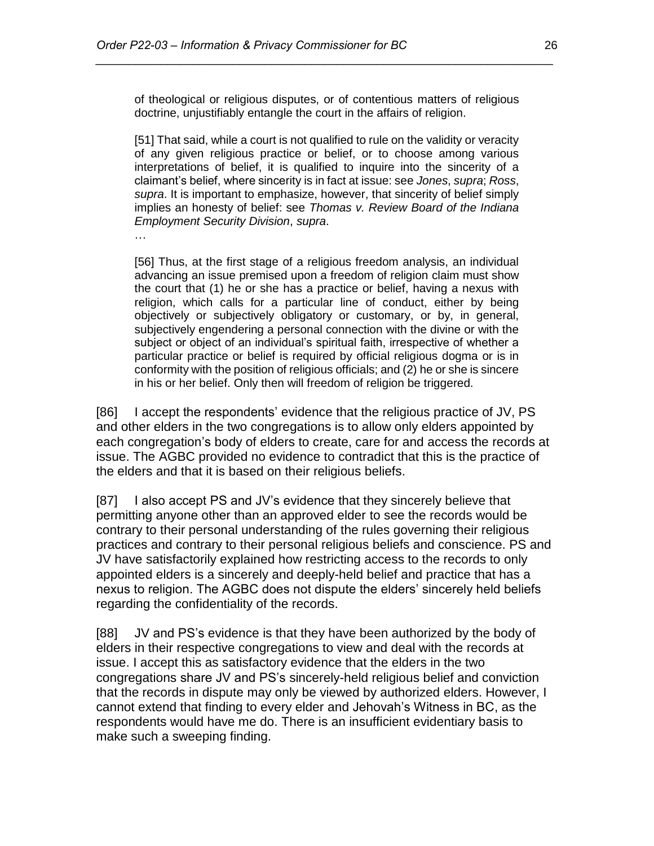of theological or religious disputes, or of contentious matters of religious doctrine, unjustifiably entangle the court in the affairs of religion.

*\_\_\_\_\_\_\_\_\_\_\_\_\_\_\_\_\_\_\_\_\_\_\_\_\_\_\_\_\_\_\_\_\_\_\_\_\_\_\_\_\_\_\_\_\_\_\_\_\_\_\_\_\_\_\_\_\_\_\_\_\_\_\_\_\_\_\_\_\_\_*

[51] That said, while a court is not qualified to rule on the validity or veracity of any given religious practice or belief, or to choose among various interpretations of belief, it is qualified to inquire into the sincerity of a claimant's belief, where sincerity is in fact at issue: see *Jones*, *supra*; *Ross*, *supra*. It is important to emphasize, however, that sincerity of belief simply implies an honesty of belief: see *Thomas v. Review Board of the Indiana Employment Security Division*, *supra*.

…

[56] Thus, at the first stage of a religious freedom analysis, an individual advancing an issue premised upon a freedom of religion claim must show the court that (1) he or she has a practice or belief, having a nexus with religion, which calls for a particular line of conduct, either by being objectively or subjectively obligatory or customary, or by, in general, subjectively engendering a personal connection with the divine or with the subject or object of an individual's spiritual faith, irrespective of whether a particular practice or belief is required by official religious dogma or is in conformity with the position of religious officials; and (2) he or she is sincere in his or her belief. Only then will freedom of religion be triggered.

[86] I accept the respondents' evidence that the religious practice of JV, PS and other elders in the two congregations is to allow only elders appointed by each congregation's body of elders to create, care for and access the records at issue. The AGBC provided no evidence to contradict that this is the practice of the elders and that it is based on their religious beliefs.

[87] I also accept PS and JV's evidence that they sincerely believe that permitting anyone other than an approved elder to see the records would be contrary to their personal understanding of the rules governing their religious practices and contrary to their personal religious beliefs and conscience. PS and JV have satisfactorily explained how restricting access to the records to only appointed elders is a sincerely and deeply-held belief and practice that has a nexus to religion. The AGBC does not dispute the elders' sincerely held beliefs regarding the confidentiality of the records.

[88] JV and PS's evidence is that they have been authorized by the body of elders in their respective congregations to view and deal with the records at issue. I accept this as satisfactory evidence that the elders in the two congregations share JV and PS's sincerely-held religious belief and conviction that the records in dispute may only be viewed by authorized elders. However, I cannot extend that finding to every elder and Jehovah's Witness in BC, as the respondents would have me do. There is an insufficient evidentiary basis to make such a sweeping finding.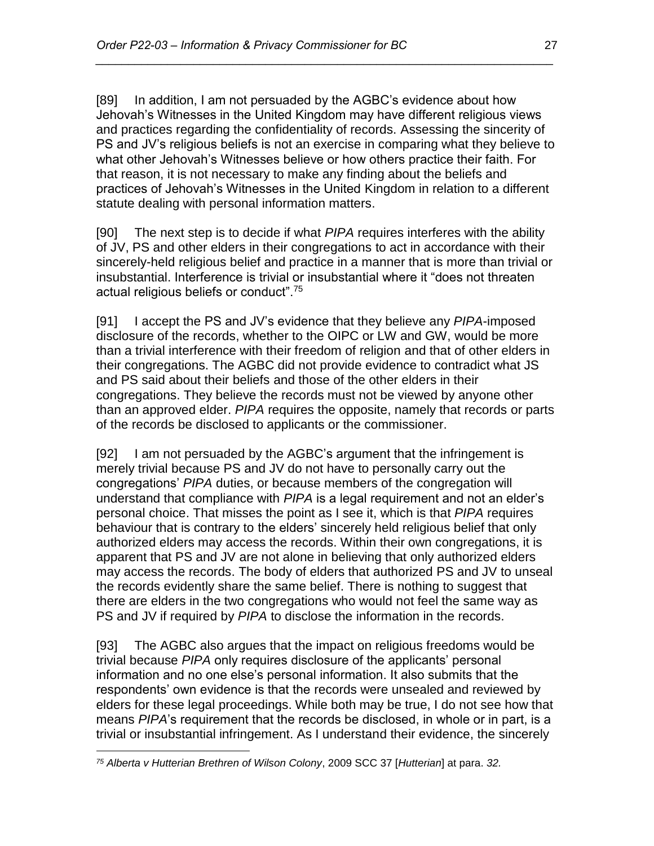[89] In addition, I am not persuaded by the AGBC's evidence about how Jehovah's Witnesses in the United Kingdom may have different religious views and practices regarding the confidentiality of records. Assessing the sincerity of PS and JV's religious beliefs is not an exercise in comparing what they believe to what other Jehovah's Witnesses believe or how others practice their faith. For that reason, it is not necessary to make any finding about the beliefs and practices of Jehovah's Witnesses in the United Kingdom in relation to a different statute dealing with personal information matters.

*\_\_\_\_\_\_\_\_\_\_\_\_\_\_\_\_\_\_\_\_\_\_\_\_\_\_\_\_\_\_\_\_\_\_\_\_\_\_\_\_\_\_\_\_\_\_\_\_\_\_\_\_\_\_\_\_\_\_\_\_\_\_\_\_\_\_\_\_\_\_*

[90] The next step is to decide if what *PIPA* requires interferes with the ability of JV, PS and other elders in their congregations to act in accordance with their sincerely-held religious belief and practice in a manner that is more than trivial or insubstantial. Interference is trivial or insubstantial where it "does not threaten actual religious beliefs or conduct".<sup>75</sup>

[91] I accept the PS and JV's evidence that they believe any *PIPA*-imposed disclosure of the records, whether to the OIPC or LW and GW, would be more than a trivial interference with their freedom of religion and that of other elders in their congregations. The AGBC did not provide evidence to contradict what JS and PS said about their beliefs and those of the other elders in their congregations. They believe the records must not be viewed by anyone other than an approved elder. *PIPA* requires the opposite, namely that records or parts of the records be disclosed to applicants or the commissioner.

[92] I am not persuaded by the AGBC's argument that the infringement is merely trivial because PS and JV do not have to personally carry out the congregations' *PIPA* duties, or because members of the congregation will understand that compliance with *PIPA* is a legal requirement and not an elder's personal choice. That misses the point as I see it, which is that *PIPA* requires behaviour that is contrary to the elders' sincerely held religious belief that only authorized elders may access the records. Within their own congregations, it is apparent that PS and JV are not alone in believing that only authorized elders may access the records. The body of elders that authorized PS and JV to unseal the records evidently share the same belief. There is nothing to suggest that there are elders in the two congregations who would not feel the same way as PS and JV if required by *PIPA* to disclose the information in the records.

[93] The AGBC also argues that the impact on religious freedoms would be trivial because *PIPA* only requires disclosure of the applicants' personal information and no one else's personal information. It also submits that the respondents' own evidence is that the records were unsealed and reviewed by elders for these legal proceedings. While both may be true, I do not see how that means *PIPA*'s requirement that the records be disclosed, in whole or in part, is a trivial or insubstantial infringement. As I understand their evidence, the sincerely

 $\overline{a}$ *<sup>75</sup> Alberta v Hutterian Brethren of Wilson Colony*, 2009 SCC 37 [*Hutterian*] at para. *32.*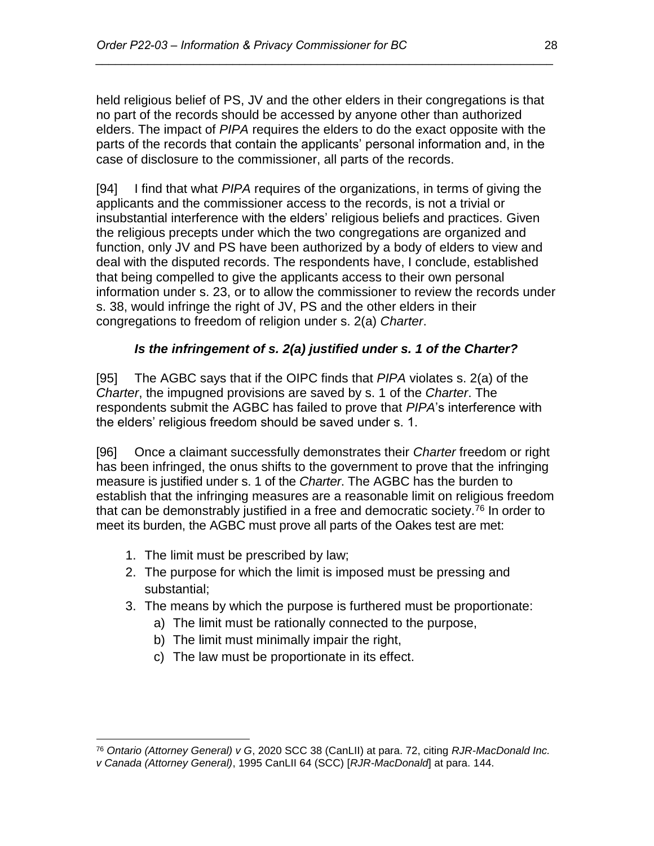held religious belief of PS, JV and the other elders in their congregations is that no part of the records should be accessed by anyone other than authorized elders. The impact of *PIPA* requires the elders to do the exact opposite with the parts of the records that contain the applicants' personal information and, in the case of disclosure to the commissioner, all parts of the records.

*\_\_\_\_\_\_\_\_\_\_\_\_\_\_\_\_\_\_\_\_\_\_\_\_\_\_\_\_\_\_\_\_\_\_\_\_\_\_\_\_\_\_\_\_\_\_\_\_\_\_\_\_\_\_\_\_\_\_\_\_\_\_\_\_\_\_\_\_\_\_*

[94] I find that what *PIPA* requires of the organizations, in terms of giving the applicants and the commissioner access to the records, is not a trivial or insubstantial interference with the elders' religious beliefs and practices. Given the religious precepts under which the two congregations are organized and function, only JV and PS have been authorized by a body of elders to view and deal with the disputed records. The respondents have, I conclude, established that being compelled to give the applicants access to their own personal information under s. 23, or to allow the commissioner to review the records under s. 38, would infringe the right of JV, PS and the other elders in their congregations to freedom of religion under s. 2(a) *Charter*.

# *Is the infringement of s. 2(a) justified under s. 1 of the Charter?*

[95] The AGBC says that if the OIPC finds that *PIPA* violates s. 2(a) of the *Charter*, the impugned provisions are saved by s. 1 of the *Charter*. The respondents submit the AGBC has failed to prove that *PIPA*'s interference with the elders' religious freedom should be saved under s. 1.

[96] Once a claimant successfully demonstrates their *Charter* freedom or right has been infringed, the onus shifts to the government to prove that the infringing measure is justified under s. 1 of the *Charter*. The AGBC has the burden to establish that the infringing measures are a reasonable limit on religious freedom that can be demonstrably justified in a free and democratic society.<sup>76</sup> In order to meet its burden, the AGBC must prove all parts of the Oakes test are met:

1. The limit must be prescribed by law;

- 2. The purpose for which the limit is imposed must be pressing and substantial;
- 3. The means by which the purpose is furthered must be proportionate:
	- a) The limit must be rationally connected to the purpose,
	- b) The limit must minimally impair the right,
	- c) The law must be proportionate in its effect.

<sup>76</sup> *Ontario (Attorney General) v G*, 2020 SCC 38 (CanLII) at para. 72, citing *RJR-MacDonald Inc.* 

*v Canada (Attorney General)*, 1995 CanLII 64 (SCC) [*RJR-MacDonald*] at para. 144.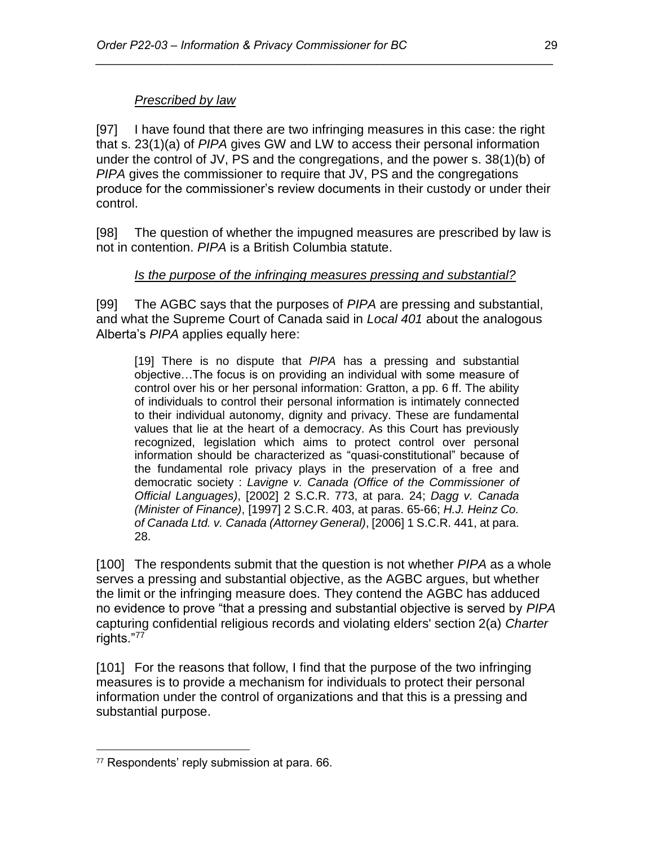# *Prescribed by law*

[97] I have found that there are two infringing measures in this case: the right that s. 23(1)(a) of *PIPA* gives GW and LW to access their personal information under the control of JV, PS and the congregations, and the power s. 38(1)(b) of *PIPA* gives the commissioner to require that JV, PS and the congregations produce for the commissioner's review documents in their custody or under their control.

*\_\_\_\_\_\_\_\_\_\_\_\_\_\_\_\_\_\_\_\_\_\_\_\_\_\_\_\_\_\_\_\_\_\_\_\_\_\_\_\_\_\_\_\_\_\_\_\_\_\_\_\_\_\_\_\_\_\_\_\_\_\_\_\_\_\_\_\_\_\_*

[98] The question of whether the impugned measures are prescribed by law is not in contention. *PIPA* is a British Columbia statute.

# *Is the purpose of the infringing measures pressing and substantial?*

[99] The AGBC says that the purposes of *PIPA* are pressing and substantial, and what the Supreme Court of Canada said in *Local 401* about the analogous Alberta's *PIPA* applies equally here:

[19] There is no dispute that *PIPA* has a pressing and substantial objective…The focus is on providing an individual with some measure of control over his or her personal information: Gratton, a pp. 6 ff. The ability of individuals to control their personal information is intimately connected to their individual autonomy, dignity and privacy. These are fundamental values that lie at the heart of a democracy. As this Court has previously recognized, legislation which aims to protect control over personal information should be characterized as "quasi-constitutional" because of the fundamental role privacy plays in the preservation of a free and democratic society : *Lavigne v. Canada (Office of the Commissioner of Official Languages)*, [2002] 2 S.C.R. 773, at para. 24; *Dagg v. Canada (Minister of Finance)*, [1997] 2 S.C.R. 403, at paras. 65-66; *H.J. Heinz Co. of Canada Ltd. v. Canada (Attorney General)*, [2006] 1 S.C.R. 441, at para. 28.

[100] The respondents submit that the question is not whether *PIPA* as a whole serves a pressing and substantial objective, as the AGBC argues, but whether the limit or the infringing measure does. They contend the AGBC has adduced no evidence to prove "that a pressing and substantial objective is served by *PIPA*  capturing confidential religious records and violating elders' section 2(a) *Charter*  rights."<sup>77</sup>

[101] For the reasons that follow, I find that the purpose of the two infringing measures is to provide a mechanism for individuals to protect their personal information under the control of organizations and that this is a pressing and substantial purpose.

<sup>77</sup> Respondents' reply submission at para. 66.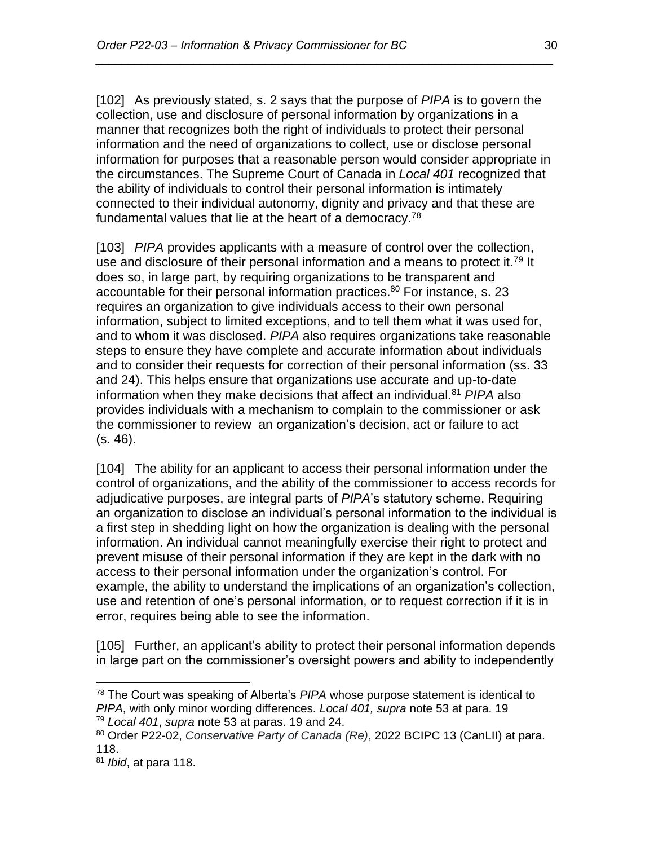[102] As previously stated, s. 2 says that the purpose of *PIPA* is to govern the collection, use and disclosure of personal information by organizations in a manner that recognizes both the right of individuals to protect their personal information and the need of organizations to collect, use or disclose personal information for purposes that a reasonable person would consider appropriate in the circumstances. The Supreme Court of Canada in *Local 401* recognized that the ability of individuals to control their personal information is intimately connected to their individual autonomy, dignity and privacy and that these are fundamental values that lie at the heart of a democracy.<sup>78</sup>

*\_\_\_\_\_\_\_\_\_\_\_\_\_\_\_\_\_\_\_\_\_\_\_\_\_\_\_\_\_\_\_\_\_\_\_\_\_\_\_\_\_\_\_\_\_\_\_\_\_\_\_\_\_\_\_\_\_\_\_\_\_\_\_\_\_\_\_\_\_\_*

[103] *PIPA* provides applicants with a measure of control over the collection, use and disclosure of their personal information and a means to protect it.<sup>79</sup> It does so, in large part, by requiring organizations to be transparent and accountable for their personal information practices. <sup>80</sup> For instance, s. 23 requires an organization to give individuals access to their own personal information, subject to limited exceptions, and to tell them what it was used for, and to whom it was disclosed. *PIPA* also requires organizations take reasonable steps to ensure they have complete and accurate information about individuals and to consider their requests for correction of their personal information (ss. 33 and 24). This helps ensure that organizations use accurate and up-to-date information when they make decisions that affect an individual.<sup>81</sup> *PIPA* also provides individuals with a mechanism to complain to the commissioner or ask the commissioner to review an organization's decision, act or failure to act (s. 46).

[104] The ability for an applicant to access their personal information under the control of organizations, and the ability of the commissioner to access records for adjudicative purposes, are integral parts of *PIPA*'s statutory scheme. Requiring an organization to disclose an individual's personal information to the individual is a first step in shedding light on how the organization is dealing with the personal information. An individual cannot meaningfully exercise their right to protect and prevent misuse of their personal information if they are kept in the dark with no access to their personal information under the organization's control. For example, the ability to understand the implications of an organization's collection, use and retention of one's personal information, or to request correction if it is in error, requires being able to see the information.

[105] Further, an applicant's ability to protect their personal information depends in large part on the commissioner's oversight powers and ability to independently

<sup>78</sup> The Court was speaking of Alberta's *PIPA* whose purpose statement is identical to *PIPA*, with only minor wording differences. *Local 401, supra* note 53 at para. 19 <sup>79</sup> *Local 401*, *supra* note 53 at paras. 19 and 24.

<sup>80</sup> Order P22-02, *Conservative Party of Canada (Re)*, 2022 BCIPC 13 (CanLII) at para. 118.

<sup>81</sup> *Ibid*, at para 118.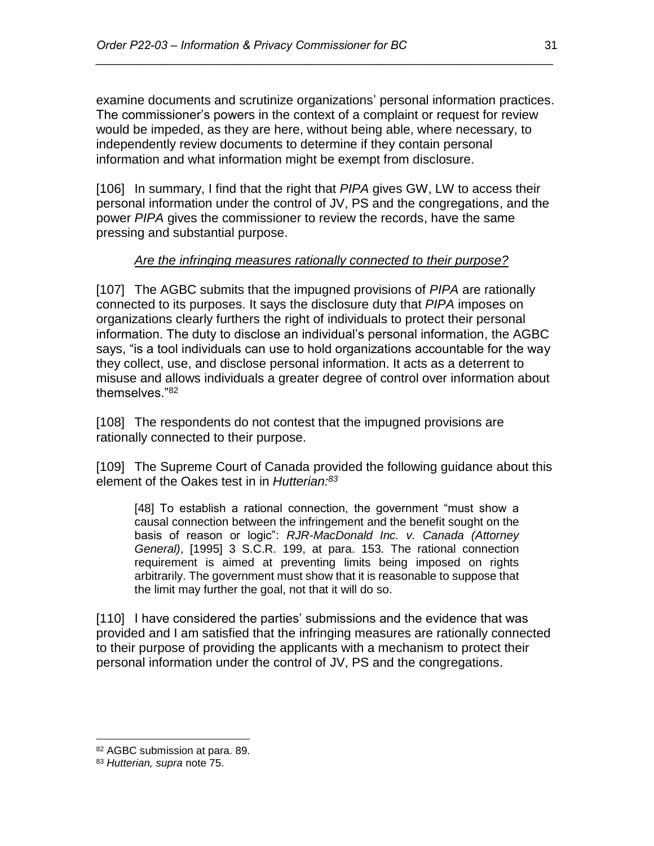examine documents and scrutinize organizations' personal information practices. The commissioner's powers in the context of a complaint or request for review would be impeded, as they are here, without being able, where necessary, to independently review documents to determine if they contain personal information and what information might be exempt from disclosure.

*\_\_\_\_\_\_\_\_\_\_\_\_\_\_\_\_\_\_\_\_\_\_\_\_\_\_\_\_\_\_\_\_\_\_\_\_\_\_\_\_\_\_\_\_\_\_\_\_\_\_\_\_\_\_\_\_\_\_\_\_\_\_\_\_\_\_\_\_\_\_*

[106] In summary, I find that the right that *PIPA* gives GW, LW to access their personal information under the control of JV, PS and the congregations, and the power *PIPA* gives the commissioner to review the records, have the same pressing and substantial purpose.

### *Are the infringing measures rationally connected to their purpose?*

[107] The AGBC submits that the impugned provisions of *PIPA* are rationally connected to its purposes. It says the disclosure duty that *PIPA* imposes on organizations clearly furthers the right of individuals to protect their personal information. The duty to disclose an individual's personal information, the AGBC says, "is a tool individuals can use to hold organizations accountable for the way they collect, use, and disclose personal information. It acts as a deterrent to misuse and allows individuals a greater degree of control over information about themselves."<sup>82</sup>

[108] The respondents do not contest that the impugned provisions are rationally connected to their purpose.

[109] The Supreme Court of Canada provided the following quidance about this element of the Oakes test in in *Hutterian: 83*

[48] To establish a rational connection, the government "must show a causal connection between the infringement and the benefit sought on the basis of reason or logic": *RJR-MacDonald Inc. v. Canada (Attorney General)*, [1995] 3 S.C.R. 199, at para. 153. The rational connection requirement is aimed at preventing limits being imposed on rights arbitrarily. The government must show that it is reasonable to suppose that the limit may further the goal, not that it will do so.

[110] I have considered the parties' submissions and the evidence that was provided and I am satisfied that the infringing measures are rationally connected to their purpose of providing the applicants with a mechanism to protect their personal information under the control of JV, PS and the congregations.

<sup>82</sup> AGBC submission at para. 89.

<sup>83</sup> *Hutterian, supra* note 75.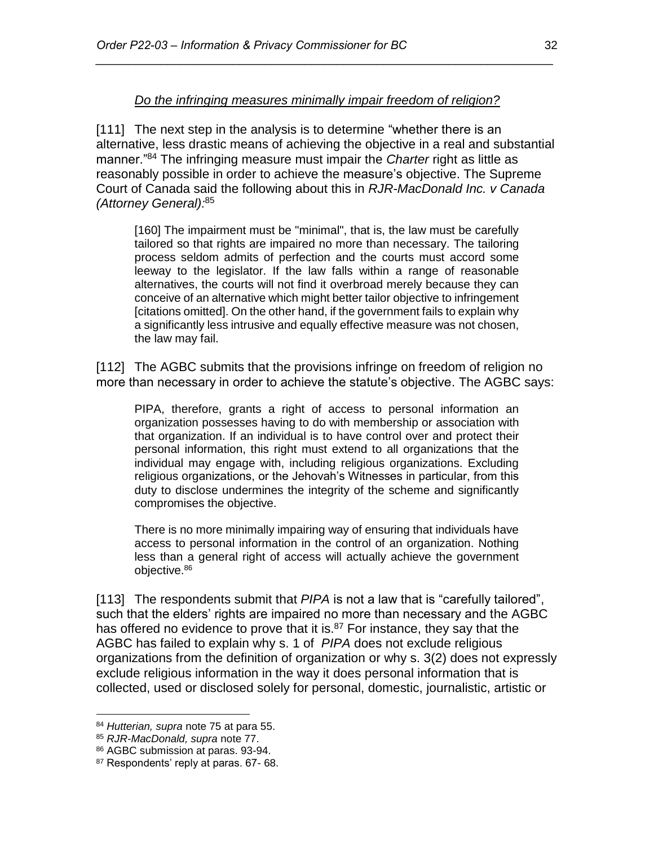#### *Do the infringing measures minimally impair freedom of religion?*

*\_\_\_\_\_\_\_\_\_\_\_\_\_\_\_\_\_\_\_\_\_\_\_\_\_\_\_\_\_\_\_\_\_\_\_\_\_\_\_\_\_\_\_\_\_\_\_\_\_\_\_\_\_\_\_\_\_\_\_\_\_\_\_\_\_\_\_\_\_\_*

[111] The next step in the analysis is to determine "whether there is an alternative, less drastic means of achieving the objective in a real and substantial manner."<sup>84</sup> The infringing measure must impair the *Charter* right as little as reasonably possible in order to achieve the measure's objective. The Supreme Court of Canada said the following about this in *RJR-MacDonald Inc. v Canada (Attorney General):* 85

[160] The impairment must be "minimal", that is, the law must be carefully tailored so that rights are impaired no more than necessary. The tailoring process seldom admits of perfection and the courts must accord some leeway to the legislator. If the law falls within a range of reasonable alternatives, the courts will not find it overbroad merely because they can conceive of an alternative which might better tailor objective to infringement [citations omitted]. On the other hand, if the government fails to explain why a significantly less intrusive and equally effective measure was not chosen, the law may fail.

[112] The AGBC submits that the provisions infringe on freedom of religion no more than necessary in order to achieve the statute's objective. The AGBC says:

PIPA, therefore, grants a right of access to personal information an organization possesses having to do with membership or association with that organization. If an individual is to have control over and protect their personal information, this right must extend to all organizations that the individual may engage with, including religious organizations. Excluding religious organizations, or the Jehovah's Witnesses in particular, from this duty to disclose undermines the integrity of the scheme and significantly compromises the objective.

There is no more minimally impairing way of ensuring that individuals have access to personal information in the control of an organization. Nothing less than a general right of access will actually achieve the government objective.<sup>86</sup>

[113] The respondents submit that *PIPA* is not a law that is "carefully tailored", such that the elders' rights are impaired no more than necessary and the AGBC has offered no evidence to prove that it is.<sup>87</sup> For instance, they say that the AGBC has failed to explain why s. 1 of *PIPA* does not exclude religious organizations from the definition of organization or why s. 3(2) does not expressly exclude religious information in the way it does personal information that is collected, used or disclosed solely for personal, domestic, journalistic, artistic or

 $\overline{a}$ <sup>84</sup> *Hutterian, supra* note 75 at para 55.

<sup>85</sup> *RJR-MacDonald, supra* note 77.

<sup>86</sup> AGBC submission at paras. 93-94.

<sup>87</sup> Respondents' reply at paras. 67- 68.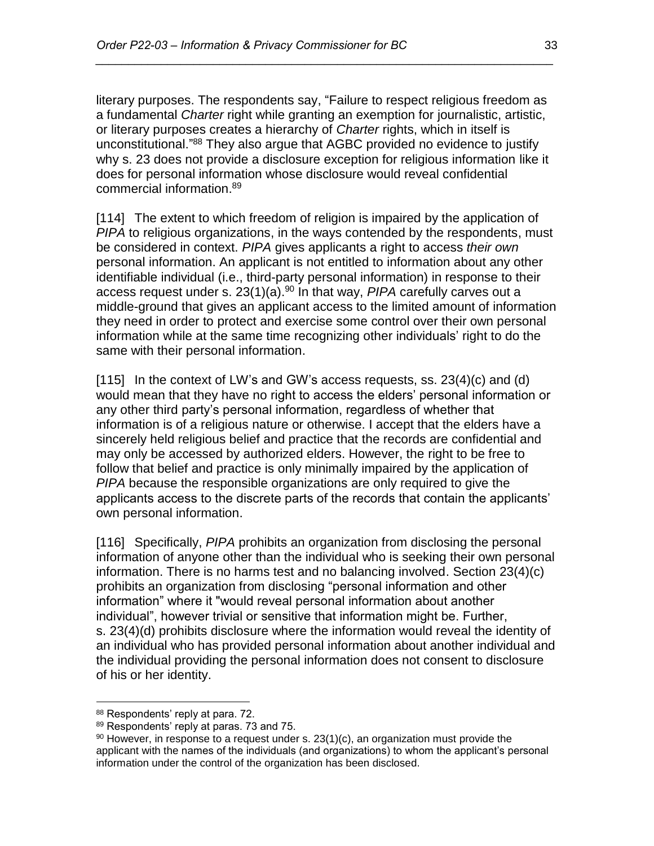literary purposes. The respondents say, "Failure to respect religious freedom as a fundamental *Charter* right while granting an exemption for journalistic, artistic, or literary purposes creates a hierarchy of *Charter* rights, which in itself is unconstitutional."<sup>88</sup> They also argue that AGBC provided no evidence to justify why s. 23 does not provide a disclosure exception for religious information like it does for personal information whose disclosure would reveal confidential commercial information. 89

*\_\_\_\_\_\_\_\_\_\_\_\_\_\_\_\_\_\_\_\_\_\_\_\_\_\_\_\_\_\_\_\_\_\_\_\_\_\_\_\_\_\_\_\_\_\_\_\_\_\_\_\_\_\_\_\_\_\_\_\_\_\_\_\_\_\_\_\_\_\_*

[114] The extent to which freedom of religion is impaired by the application of *PIPA* to religious organizations, in the ways contended by the respondents, must be considered in context. *PIPA* gives applicants a right to access *their own* personal information. An applicant is not entitled to information about any other identifiable individual (i.e., third-party personal information) in response to their access request under s. 23(1)(a). <sup>90</sup> In that way, *PIPA* carefully carves out a middle-ground that gives an applicant access to the limited amount of information they need in order to protect and exercise some control over their own personal information while at the same time recognizing other individuals' right to do the same with their personal information.

 $[115]$  In the context of LW's and GW's access requests, ss. 23(4)(c) and (d) would mean that they have no right to access the elders' personal information or any other third party's personal information, regardless of whether that information is of a religious nature or otherwise. I accept that the elders have a sincerely held religious belief and practice that the records are confidential and may only be accessed by authorized elders. However, the right to be free to follow that belief and practice is only minimally impaired by the application of *PIPA* because the responsible organizations are only required to give the applicants access to the discrete parts of the records that contain the applicants' own personal information.

[116] Specifically, *PIPA* prohibits an organization from disclosing the personal information of anyone other than the individual who is seeking their own personal information. There is no harms test and no balancing involved. Section 23(4)(c) prohibits an organization from disclosing "personal information and other information" where it "would reveal personal information about another individual", however trivial or sensitive that information might be. Further, s. 23(4)(d) prohibits disclosure where the information would reveal the identity of an individual who has provided personal information about another individual and the individual providing the personal information does not consent to disclosure of his or her identity.

<sup>88</sup> Respondents' reply at para. 72.

<sup>89</sup> Respondents' reply at paras. 73 and 75.

 $90$  However, in response to a request under s.  $23(1)(c)$ , an organization must provide the applicant with the names of the individuals (and organizations) to whom the applicant's personal information under the control of the organization has been disclosed.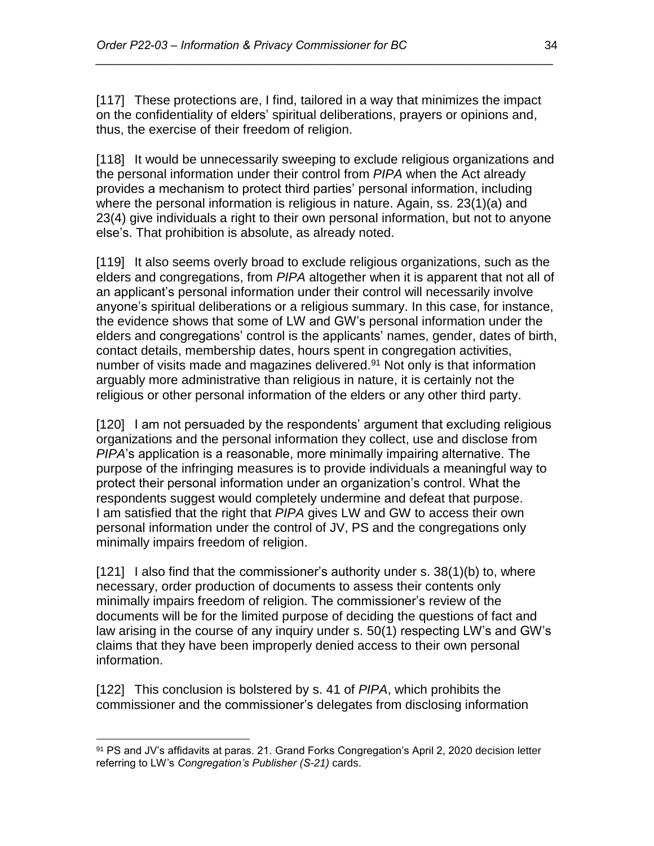[117] These protections are, I find, tailored in a way that minimizes the impact on the confidentiality of elders' spiritual deliberations, prayers or opinions and, thus, the exercise of their freedom of religion.

*\_\_\_\_\_\_\_\_\_\_\_\_\_\_\_\_\_\_\_\_\_\_\_\_\_\_\_\_\_\_\_\_\_\_\_\_\_\_\_\_\_\_\_\_\_\_\_\_\_\_\_\_\_\_\_\_\_\_\_\_\_\_\_\_\_\_\_\_\_\_*

[118] It would be unnecessarily sweeping to exclude religious organizations and the personal information under their control from *PIPA* when the Act already provides a mechanism to protect third parties' personal information, including where the personal information is religious in nature. Again, ss. 23(1)(a) and 23(4) give individuals a right to their own personal information, but not to anyone else's. That prohibition is absolute, as already noted.

[119] It also seems overly broad to exclude religious organizations, such as the elders and congregations, from *PIPA* altogether when it is apparent that not all of an applicant's personal information under their control will necessarily involve anyone's spiritual deliberations or a religious summary. In this case, for instance, the evidence shows that some of LW and GW's personal information under the elders and congregations' control is the applicants' names, gender, dates of birth, contact details, membership dates, hours spent in congregation activities, number of visits made and magazines delivered.<sup>91</sup> Not only is that information arguably more administrative than religious in nature, it is certainly not the religious or other personal information of the elders or any other third party.

[120] I am not persuaded by the respondents' argument that excluding religious organizations and the personal information they collect, use and disclose from *PIPA*'s application is a reasonable, more minimally impairing alternative. The purpose of the infringing measures is to provide individuals a meaningful way to protect their personal information under an organization's control. What the respondents suggest would completely undermine and defeat that purpose. I am satisfied that the right that *PIPA* gives LW and GW to access their own personal information under the control of JV, PS and the congregations only minimally impairs freedom of religion.

[121] I also find that the commissioner's authority under s. 38(1)(b) to, where necessary, order production of documents to assess their contents only minimally impairs freedom of religion. The commissioner's review of the documents will be for the limited purpose of deciding the questions of fact and law arising in the course of any inquiry under s. 50(1) respecting LW's and GW's claims that they have been improperly denied access to their own personal information.

[122] This conclusion is bolstered by s. 41 of *PIPA*, which prohibits the commissioner and the commissioner's delegates from disclosing information

<sup>91</sup> PS and JV's affidavits at paras. 21. Grand Forks Congregation's April 2, 2020 decision letter referring to LW's *Congregation's Publisher (S-21)* cards.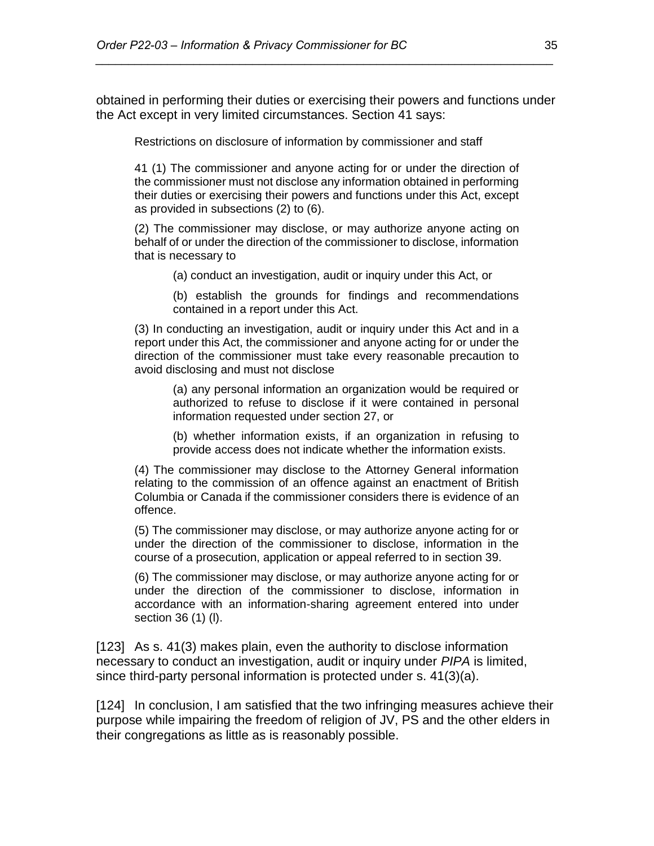obtained in performing their duties or exercising their powers and functions under the Act except in very limited circumstances. Section 41 says:

*\_\_\_\_\_\_\_\_\_\_\_\_\_\_\_\_\_\_\_\_\_\_\_\_\_\_\_\_\_\_\_\_\_\_\_\_\_\_\_\_\_\_\_\_\_\_\_\_\_\_\_\_\_\_\_\_\_\_\_\_\_\_\_\_\_\_\_\_\_\_*

Restrictions on disclosure of information by commissioner and staff

41 (1) The commissioner and anyone acting for or under the direction of the commissioner must not disclose any information obtained in performing their duties or exercising their powers and functions under this Act, except as provided in subsections (2) to (6).

(2) The commissioner may disclose, or may authorize anyone acting on behalf of or under the direction of the commissioner to disclose, information that is necessary to

(a) conduct an investigation, audit or inquiry under this Act, or

(b) establish the grounds for findings and recommendations contained in a report under this Act.

(3) In conducting an investigation, audit or inquiry under this Act and in a report under this Act, the commissioner and anyone acting for or under the direction of the commissioner must take every reasonable precaution to avoid disclosing and must not disclose

(a) any personal information an organization would be required or authorized to refuse to disclose if it were contained in personal information requested under section 27, or

(b) whether information exists, if an organization in refusing to provide access does not indicate whether the information exists.

(4) The commissioner may disclose to the Attorney General information relating to the commission of an offence against an enactment of British Columbia or Canada if the commissioner considers there is evidence of an offence.

(5) The commissioner may disclose, or may authorize anyone acting for or under the direction of the commissioner to disclose, information in the course of a prosecution, application or appeal referred to in section 39.

(6) The commissioner may disclose, or may authorize anyone acting for or under the direction of the commissioner to disclose, information in accordance with an information-sharing agreement entered into under section 36 (1) (l).

[123] As s. 41(3) makes plain, even the authority to disclose information necessary to conduct an investigation, audit or inquiry under *PIPA* is limited, since third-party personal information is protected under s. 41(3)(a).

[124] In conclusion, I am satisfied that the two infringing measures achieve their purpose while impairing the freedom of religion of JV, PS and the other elders in their congregations as little as is reasonably possible.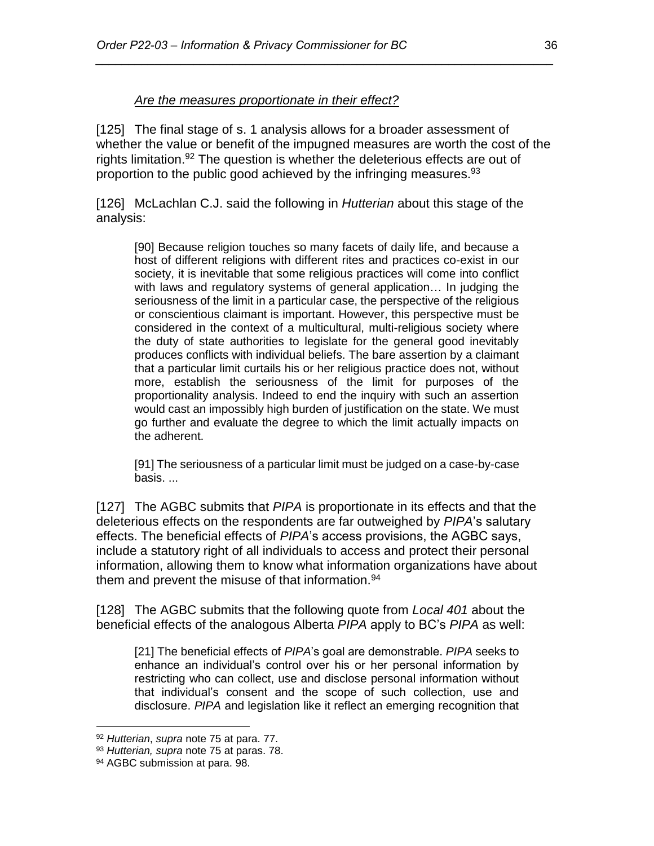#### *Are the measures proportionate in their effect?*

[125] The final stage of s. 1 analysis allows for a broader assessment of whether the value or benefit of the impugned measures are worth the cost of the rights limitation.<sup>92</sup> The question is whether the deleterious effects are out of proportion to the public good achieved by the infringing measures.<sup>93</sup>

*\_\_\_\_\_\_\_\_\_\_\_\_\_\_\_\_\_\_\_\_\_\_\_\_\_\_\_\_\_\_\_\_\_\_\_\_\_\_\_\_\_\_\_\_\_\_\_\_\_\_\_\_\_\_\_\_\_\_\_\_\_\_\_\_\_\_\_\_\_\_*

[126] McLachlan C.J. said the following in *Hutterian* about this stage of the analysis:

[90] Because religion touches so many facets of daily life, and because a host of different religions with different rites and practices co-exist in our society, it is inevitable that some religious practices will come into conflict with laws and regulatory systems of general application… In judging the seriousness of the limit in a particular case, the perspective of the religious or conscientious claimant is important. However, this perspective must be considered in the context of a multicultural, multi-religious society where the duty of state authorities to legislate for the general good inevitably produces conflicts with individual beliefs. The bare assertion by a claimant that a particular limit curtails his or her religious practice does not, without more, establish the seriousness of the limit for purposes of the proportionality analysis. Indeed to end the inquiry with such an assertion would cast an impossibly high burden of justification on the state. We must go further and evaluate the degree to which the limit actually impacts on the adherent.

[91] The seriousness of a particular limit must be judged on a case-by-case basis. ...

[127] The AGBC submits that *PIPA* is proportionate in its effects and that the deleterious effects on the respondents are far outweighed by *PIPA*'s salutary effects. The beneficial effects of *PIPA*'s access provisions, the AGBC says, include a statutory right of all individuals to access and protect their personal information, allowing them to know what information organizations have about them and prevent the misuse of that information.<sup>94</sup>

[128] The AGBC submits that the following quote from *Local 401* about the beneficial effects of the analogous Alberta *PIPA* apply to BC's *PIPA* as well:

[21] The beneficial effects of *PIPA*'s goal are demonstrable. *PIPA* seeks to enhance an individual's control over his or her personal information by restricting who can collect, use and disclose personal information without that individual's consent and the scope of such collection, use and disclosure. *PIPA* and legislation like it reflect an emerging recognition that

<sup>92</sup> *Hutterian*, *supra* note 75 at para. 77.

<sup>93</sup> *Hutterian, supra* note 75 at paras. 78.

<sup>94</sup> AGBC submission at para. 98.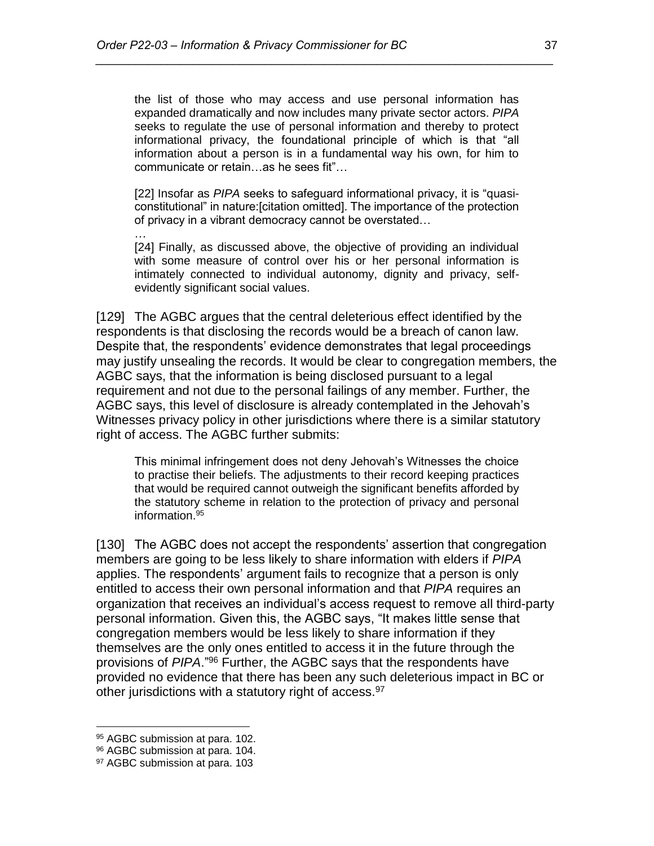the list of those who may access and use personal information has expanded dramatically and now includes many private sector actors. *PIPA* seeks to regulate the use of personal information and thereby to protect informational privacy, the foundational principle of which is that "all information about a person is in a fundamental way his own, for him to communicate or retain…as he sees fit"…

*\_\_\_\_\_\_\_\_\_\_\_\_\_\_\_\_\_\_\_\_\_\_\_\_\_\_\_\_\_\_\_\_\_\_\_\_\_\_\_\_\_\_\_\_\_\_\_\_\_\_\_\_\_\_\_\_\_\_\_\_\_\_\_\_\_\_\_\_\_\_*

[22] Insofar as *PIPA* seeks to safeguard informational privacy, it is "quasiconstitutional" in nature:[citation omitted]. The importance of the protection of privacy in a vibrant democracy cannot be overstated…

[24] Finally, as discussed above, the objective of providing an individual with some measure of control over his or her personal information is intimately connected to individual autonomy, dignity and privacy, selfevidently significant social values.

[129] The AGBC argues that the central deleterious effect identified by the respondents is that disclosing the records would be a breach of canon law. Despite that, the respondents' evidence demonstrates that legal proceedings may justify unsealing the records. It would be clear to congregation members, the AGBC says, that the information is being disclosed pursuant to a legal requirement and not due to the personal failings of any member. Further, the AGBC says, this level of disclosure is already contemplated in the Jehovah's Witnesses privacy policy in other jurisdictions where there is a similar statutory right of access. The AGBC further submits:

This minimal infringement does not deny Jehovah's Witnesses the choice to practise their beliefs. The adjustments to their record keeping practices that would be required cannot outweigh the significant benefits afforded by the statutory scheme in relation to the protection of privacy and personal information.<sup>95</sup>

[130] The AGBC does not accept the respondents' assertion that congregation members are going to be less likely to share information with elders if *PIPA* applies. The respondents' argument fails to recognize that a person is only entitled to access their own personal information and that *PIPA* requires an organization that receives an individual's access request to remove all third-party personal information. Given this, the AGBC says, "It makes little sense that congregation members would be less likely to share information if they themselves are the only ones entitled to access it in the future through the provisions of *PIPA*."<sup>96</sup> Further, the AGBC says that the respondents have provided no evidence that there has been any such deleterious impact in BC or other jurisdictions with a statutory right of access.<sup>97</sup>

 $\overline{a}$ 

…

<sup>95</sup> AGBC submission at para. 102.

<sup>96</sup> AGBC submission at para. 104.

<sup>97</sup> AGBC submission at para. 103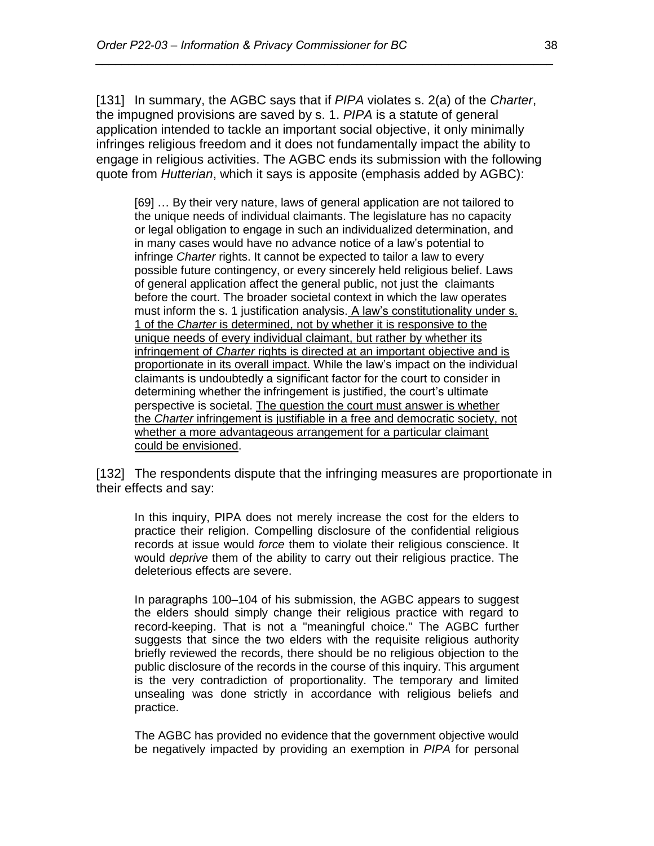[131] In summary, the AGBC says that if *PIPA* violates s. 2(a) of the *Charter*, the impugned provisions are saved by s. 1. *PIPA* is a statute of general application intended to tackle an important social objective, it only minimally infringes religious freedom and it does not fundamentally impact the ability to engage in religious activities. The AGBC ends its submission with the following quote from *Hutterian*, which it says is apposite (emphasis added by AGBC):

*\_\_\_\_\_\_\_\_\_\_\_\_\_\_\_\_\_\_\_\_\_\_\_\_\_\_\_\_\_\_\_\_\_\_\_\_\_\_\_\_\_\_\_\_\_\_\_\_\_\_\_\_\_\_\_\_\_\_\_\_\_\_\_\_\_\_\_\_\_\_*

[69] … By their very nature, laws of general application are not tailored to the unique needs of individual claimants. The legislature has no capacity or legal obligation to engage in such an individualized determination, and in many cases would have no advance notice of a law's potential to infringe *Charter* rights. It cannot be expected to tailor a law to every possible future contingency, or every sincerely held religious belief. Laws of general application affect the general public, not just the claimants before the court. The broader societal context in which the law operates must inform the s. 1 justification analysis. A law's constitutionality under s. 1 of the *Charter* is determined, not by whether it is responsive to the unique needs of every individual claimant, but rather by whether its infringement of *Charter* rights is directed at an important objective and is proportionate in its overall impact. While the law's impact on the individual claimants is undoubtedly a significant factor for the court to consider in determining whether the infringement is justified, the court's ultimate perspective is societal. The question the court must answer is whether the *Charter* infringement is justifiable in a free and democratic society, not whether a more advantageous arrangement for a particular claimant could be envisioned.

[132] The respondents dispute that the infringing measures are proportionate in their effects and say:

In this inquiry, PIPA does not merely increase the cost for the elders to practice their religion. Compelling disclosure of the confidential religious records at issue would *force* them to violate their religious conscience. It would *deprive* them of the ability to carry out their religious practice. The deleterious effects are severe.

In paragraphs 100–104 of his submission, the AGBC appears to suggest the elders should simply change their religious practice with regard to record-keeping. That is not a "meaningful choice." The AGBC further suggests that since the two elders with the requisite religious authority briefly reviewed the records, there should be no religious objection to the public disclosure of the records in the course of this inquiry. This argument is the very contradiction of proportionality. The temporary and limited unsealing was done strictly in accordance with religious beliefs and practice.

The AGBC has provided no evidence that the government objective would be negatively impacted by providing an exemption in *PIPA* for personal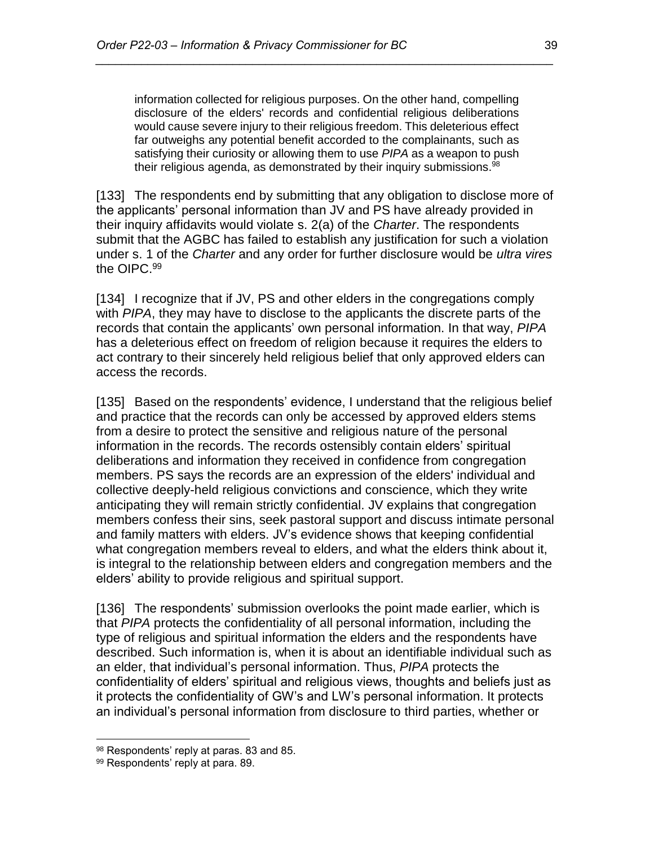information collected for religious purposes. On the other hand, compelling disclosure of the elders' records and confidential religious deliberations would cause severe injury to their religious freedom. This deleterious effect far outweighs any potential benefit accorded to the complainants, such as satisfying their curiosity or allowing them to use *PIPA* as a weapon to push their religious agenda, as demonstrated by their inquiry submissions.<sup>98</sup>

*\_\_\_\_\_\_\_\_\_\_\_\_\_\_\_\_\_\_\_\_\_\_\_\_\_\_\_\_\_\_\_\_\_\_\_\_\_\_\_\_\_\_\_\_\_\_\_\_\_\_\_\_\_\_\_\_\_\_\_\_\_\_\_\_\_\_\_\_\_\_*

[133] The respondents end by submitting that any obligation to disclose more of the applicants' personal information than JV and PS have already provided in their inquiry affidavits would violate s. 2(a) of the *Charter*. The respondents submit that the AGBC has failed to establish any justification for such a violation under s. 1 of the *Charter* and any order for further disclosure would be *ultra vires*  the OIPC. 99

[134] I recognize that if JV, PS and other elders in the congregations comply with *PIPA*, they may have to disclose to the applicants the discrete parts of the records that contain the applicants' own personal information. In that way, *PIPA* has a deleterious effect on freedom of religion because it requires the elders to act contrary to their sincerely held religious belief that only approved elders can access the records.

[135] Based on the respondents' evidence, I understand that the religious belief and practice that the records can only be accessed by approved elders stems from a desire to protect the sensitive and religious nature of the personal information in the records. The records ostensibly contain elders' spiritual deliberations and information they received in confidence from congregation members. PS says the records are an expression of the elders' individual and collective deeply-held religious convictions and conscience, which they write anticipating they will remain strictly confidential. JV explains that congregation members confess their sins, seek pastoral support and discuss intimate personal and family matters with elders. JV's evidence shows that keeping confidential what congregation members reveal to elders, and what the elders think about it, is integral to the relationship between elders and congregation members and the elders' ability to provide religious and spiritual support.

[136] The respondents' submission overlooks the point made earlier, which is that *PIPA* protects the confidentiality of all personal information, including the type of religious and spiritual information the elders and the respondents have described. Such information is, when it is about an identifiable individual such as an elder, that individual's personal information. Thus, *PIPA* protects the confidentiality of elders' spiritual and religious views, thoughts and beliefs just as it protects the confidentiality of GW's and LW's personal information. It protects an individual's personal information from disclosure to third parties, whether or

<sup>98</sup> Respondents' reply at paras. 83 and 85.

<sup>99</sup> Respondents' reply at para. 89.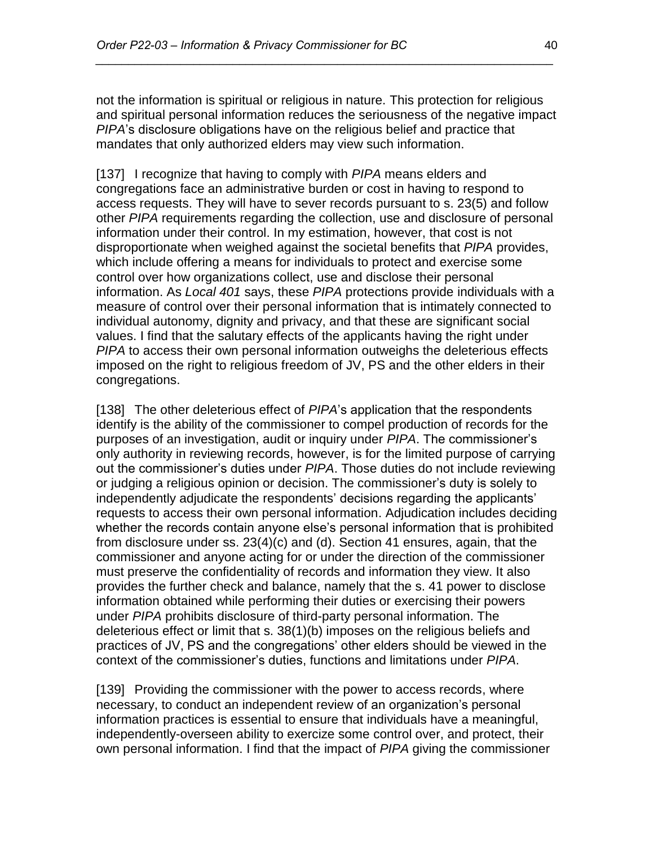not the information is spiritual or religious in nature. This protection for religious and spiritual personal information reduces the seriousness of the negative impact *PIPA*'s disclosure obligations have on the religious belief and practice that mandates that only authorized elders may view such information.

*\_\_\_\_\_\_\_\_\_\_\_\_\_\_\_\_\_\_\_\_\_\_\_\_\_\_\_\_\_\_\_\_\_\_\_\_\_\_\_\_\_\_\_\_\_\_\_\_\_\_\_\_\_\_\_\_\_\_\_\_\_\_\_\_\_\_\_\_\_\_*

[137] I recognize that having to comply with *PIPA* means elders and congregations face an administrative burden or cost in having to respond to access requests. They will have to sever records pursuant to s. 23(5) and follow other *PIPA* requirements regarding the collection, use and disclosure of personal information under their control. In my estimation, however, that cost is not disproportionate when weighed against the societal benefits that *PIPA* provides, which include offering a means for individuals to protect and exercise some control over how organizations collect, use and disclose their personal information. As *Local 401* says, these *PIPA* protections provide individuals with a measure of control over their personal information that is intimately connected to individual autonomy, dignity and privacy, and that these are significant social values. I find that the salutary effects of the applicants having the right under *PIPA* to access their own personal information outweighs the deleterious effects imposed on the right to religious freedom of JV, PS and the other elders in their congregations.

[138] The other deleterious effect of *PIPA*'s application that the respondents identify is the ability of the commissioner to compel production of records for the purposes of an investigation, audit or inquiry under *PIPA*. The commissioner's only authority in reviewing records, however, is for the limited purpose of carrying out the commissioner's duties under *PIPA*. Those duties do not include reviewing or judging a religious opinion or decision. The commissioner's duty is solely to independently adjudicate the respondents' decisions regarding the applicants' requests to access their own personal information. Adjudication includes deciding whether the records contain anyone else's personal information that is prohibited from disclosure under ss. 23(4)(c) and (d). Section 41 ensures, again, that the commissioner and anyone acting for or under the direction of the commissioner must preserve the confidentiality of records and information they view. It also provides the further check and balance, namely that the s. 41 power to disclose information obtained while performing their duties or exercising their powers under *PIPA* prohibits disclosure of third-party personal information. The deleterious effect or limit that s. 38(1)(b) imposes on the religious beliefs and practices of JV, PS and the congregations' other elders should be viewed in the context of the commissioner's duties, functions and limitations under *PIPA*.

[139] Providing the commissioner with the power to access records, where necessary, to conduct an independent review of an organization's personal information practices is essential to ensure that individuals have a meaningful, independently-overseen ability to exercize some control over, and protect, their own personal information. I find that the impact of *PIPA* giving the commissioner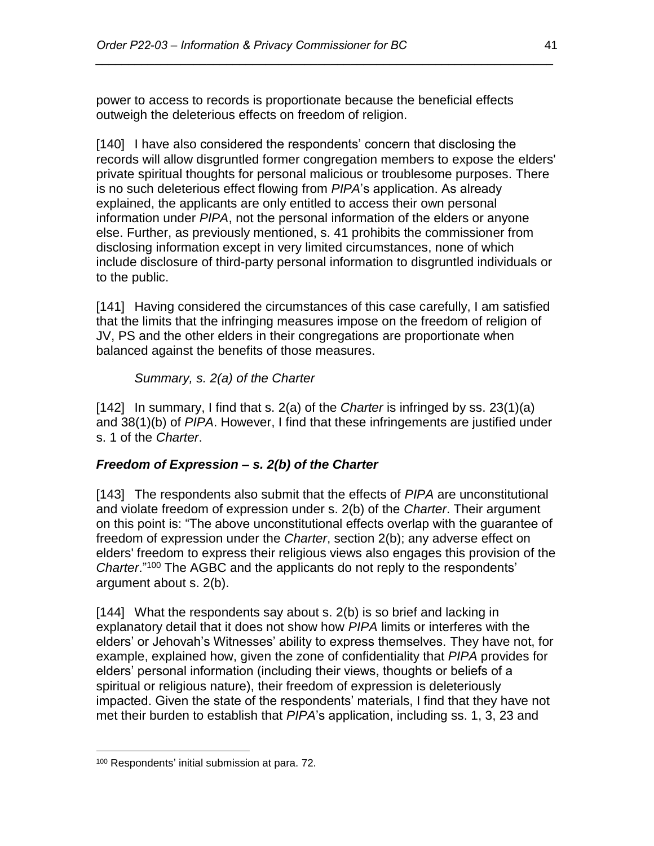power to access to records is proportionate because the beneficial effects outweigh the deleterious effects on freedom of religion.

*\_\_\_\_\_\_\_\_\_\_\_\_\_\_\_\_\_\_\_\_\_\_\_\_\_\_\_\_\_\_\_\_\_\_\_\_\_\_\_\_\_\_\_\_\_\_\_\_\_\_\_\_\_\_\_\_\_\_\_\_\_\_\_\_\_\_\_\_\_\_*

[140] I have also considered the respondents' concern that disclosing the records will allow disgruntled former congregation members to expose the elders' private spiritual thoughts for personal malicious or troublesome purposes. There is no such deleterious effect flowing from *PIPA*'s application. As already explained, the applicants are only entitled to access their own personal information under *PIPA*, not the personal information of the elders or anyone else. Further, as previously mentioned, s. 41 prohibits the commissioner from disclosing information except in very limited circumstances, none of which include disclosure of third-party personal information to disgruntled individuals or to the public.

[141] Having considered the circumstances of this case carefully, I am satisfied that the limits that the infringing measures impose on the freedom of religion of JV, PS and the other elders in their congregations are proportionate when balanced against the benefits of those measures.

*Summary, s. 2(a) of the Charter*

[142] In summary, I find that s. 2(a) of the *Charter* is infringed by ss. 23(1)(a) and 38(1)(b) of *PIPA*. However, I find that these infringements are justified under s. 1 of the *Charter*.

# *Freedom of Expression – s. 2(b) of the Charter*

[143] The respondents also submit that the effects of *PIPA* are unconstitutional and violate freedom of expression under s. 2(b) of the *Charter*. Their argument on this point is: "The above unconstitutional effects overlap with the guarantee of freedom of expression under the *Charter*, section 2(b); any adverse effect on elders' freedom to express their religious views also engages this provision of the *Charter.*"<sup>100</sup> The AGBC and the applicants do not reply to the respondents' argument about s. 2(b).

[144] What the respondents say about s. 2(b) is so brief and lacking in explanatory detail that it does not show how *PIPA* limits or interferes with the elders' or Jehovah's Witnesses' ability to express themselves. They have not, for example, explained how, given the zone of confidentiality that *PIPA* provides for elders' personal information (including their views, thoughts or beliefs of a spiritual or religious nature), their freedom of expression is deleteriously impacted. Given the state of the respondents' materials, I find that they have not met their burden to establish that *PIPA*'s application, including ss. 1, 3, 23 and

<sup>100</sup> Respondents' initial submission at para. 72.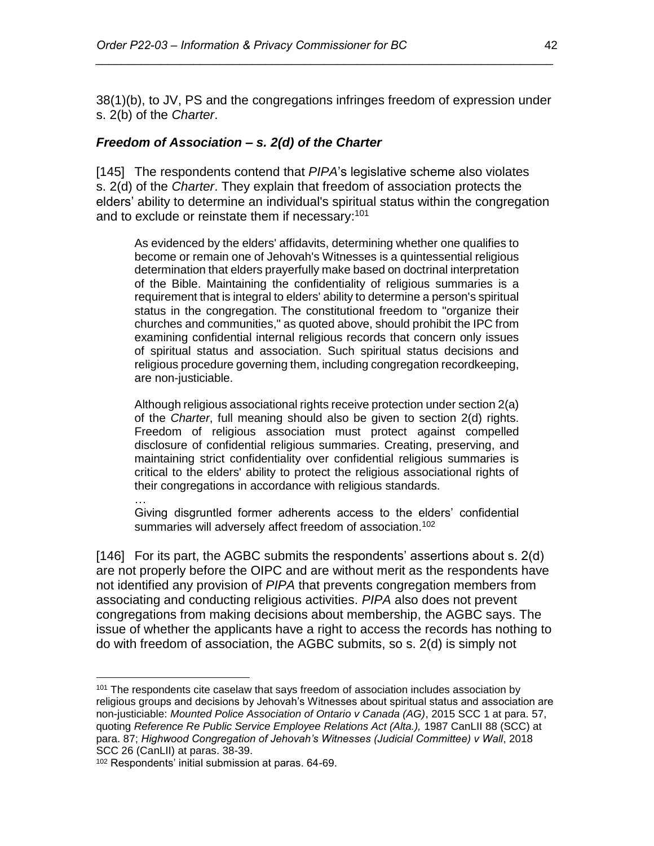38(1)(b), to JV, PS and the congregations infringes freedom of expression under s. 2(b) of the *Charter*.

*\_\_\_\_\_\_\_\_\_\_\_\_\_\_\_\_\_\_\_\_\_\_\_\_\_\_\_\_\_\_\_\_\_\_\_\_\_\_\_\_\_\_\_\_\_\_\_\_\_\_\_\_\_\_\_\_\_\_\_\_\_\_\_\_\_\_\_\_\_\_*

#### *Freedom of Association – s. 2(d) of the Charter*

[145] The respondents contend that *PIPA*'s legislative scheme also violates s. 2(d) of the *Charter*. They explain that freedom of association protects the elders' ability to determine an individual's spiritual status within the congregation and to exclude or reinstate them if necessary:<sup>101</sup>

As evidenced by the elders' affidavits, determining whether one qualifies to become or remain one of Jehovah's Witnesses is a quintessential religious determination that elders prayerfully make based on doctrinal interpretation of the Bible. Maintaining the confidentiality of religious summaries is a requirement that is integral to elders' ability to determine a person's spiritual status in the congregation. The constitutional freedom to "organize their churches and communities," as quoted above, should prohibit the IPC from examining confidential internal religious records that concern only issues of spiritual status and association. Such spiritual status decisions and religious procedure governing them, including congregation recordkeeping, are non-justiciable.

Although religious associational rights receive protection under section 2(a) of the *Charter*, full meaning should also be given to section 2(d) rights. Freedom of religious association must protect against compelled disclosure of confidential religious summaries. Creating, preserving, and maintaining strict confidentiality over confidential religious summaries is critical to the elders' ability to protect the religious associational rights of their congregations in accordance with religious standards.

…

 $\overline{a}$ 

Giving disgruntled former adherents access to the elders' confidential summaries will adversely affect freedom of association.<sup>102</sup>

[146] For its part, the AGBC submits the respondents' assertions about s. 2(d) are not properly before the OIPC and are without merit as the respondents have not identified any provision of *PIPA* that prevents congregation members from associating and conducting religious activities. *PIPA* also does not prevent congregations from making decisions about membership, the AGBC says. The issue of whether the applicants have a right to access the records has nothing to do with freedom of association, the AGBC submits, so s. 2(d) is simply not

 $101$  The respondents cite caselaw that says freedom of association includes association by religious groups and decisions by Jehovah's Witnesses about spiritual status and association are non-justiciable: *Mounted Police Association of Ontario v Canada (AG)*, 2015 SCC 1 at para. 57, quoting *Reference Re Public Service Employee Relations Act (Alta.),* 1987 CanLII 88 (SCC) at para. 87; *Highwood Congregation of Jehovah's Witnesses (Judicial Committee) v Wall*, 2018 SCC 26 (CanLII) at paras. 38-39.

<sup>102</sup> Respondents' initial submission at paras. 64-69.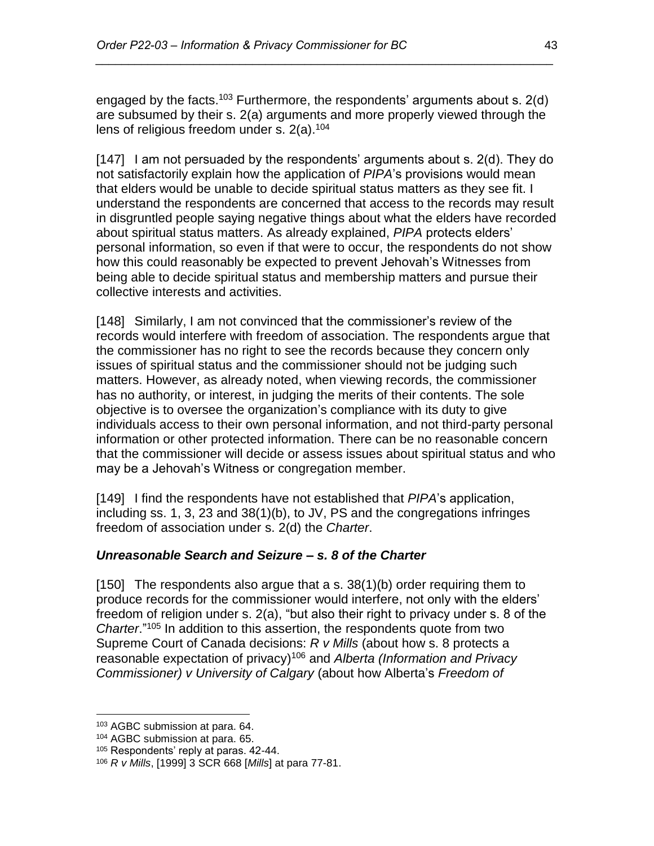engaged by the facts.<sup>103</sup> Furthermore, the respondents' arguments about s. 2(d) are subsumed by their s. 2(a) arguments and more properly viewed through the lens of religious freedom under s.  $2(a)$ .<sup>104</sup>

*\_\_\_\_\_\_\_\_\_\_\_\_\_\_\_\_\_\_\_\_\_\_\_\_\_\_\_\_\_\_\_\_\_\_\_\_\_\_\_\_\_\_\_\_\_\_\_\_\_\_\_\_\_\_\_\_\_\_\_\_\_\_\_\_\_\_\_\_\_\_*

[147] I am not persuaded by the respondents' arguments about s. 2(d). They do not satisfactorily explain how the application of *PIPA*'s provisions would mean that elders would be unable to decide spiritual status matters as they see fit. I understand the respondents are concerned that access to the records may result in disgruntled people saying negative things about what the elders have recorded about spiritual status matters. As already explained, *PIPA* protects elders' personal information, so even if that were to occur, the respondents do not show how this could reasonably be expected to prevent Jehovah's Witnesses from being able to decide spiritual status and membership matters and pursue their collective interests and activities.

[148] Similarly, I am not convinced that the commissioner's review of the records would interfere with freedom of association. The respondents argue that the commissioner has no right to see the records because they concern only issues of spiritual status and the commissioner should not be judging such matters. However, as already noted, when viewing records, the commissioner has no authority, or interest, in judging the merits of their contents. The sole objective is to oversee the organization's compliance with its duty to give individuals access to their own personal information, and not third-party personal information or other protected information. There can be no reasonable concern that the commissioner will decide or assess issues about spiritual status and who may be a Jehovah's Witness or congregation member.

[149] I find the respondents have not established that *PIPA*'s application, including ss. 1, 3, 23 and 38(1)(b), to JV, PS and the congregations infringes freedom of association under s. 2(d) the *Charter*.

# *Unreasonable Search and Seizure – s. 8 of the Charter*

[150] The respondents also argue that a s. 38(1)(b) order requiring them to produce records for the commissioner would interfere, not only with the elders' freedom of religion under s. 2(a), "but also their right to privacy under s. 8 of the *Charter*."<sup>105</sup> In addition to this assertion, the respondents quote from two Supreme Court of Canada decisions: *R v Mills* (about how s. 8 protects a reasonable expectation of privacy) <sup>106</sup> and *Alberta (Information and Privacy Commissioner) v University of Calgary* (about how Alberta's *Freedom of* 

 $\overline{a}$ <sup>103</sup> AGBC submission at para. 64.

<sup>104</sup> AGBC submission at para. 65.

<sup>105</sup> Respondents' reply at paras. 42-44.

<sup>106</sup> *R v Mills*, [1999] 3 SCR 668 [*Mills*] at para 77-81.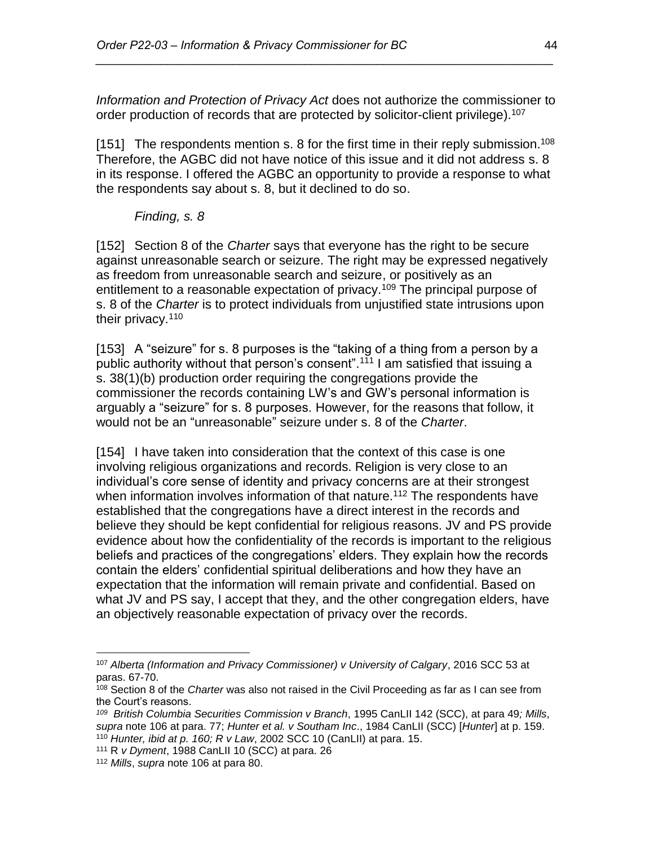*Information and Protection of Privacy Act* does not authorize the commissioner to order production of records that are protected by solicitor-client privilege).<sup>107</sup>

*\_\_\_\_\_\_\_\_\_\_\_\_\_\_\_\_\_\_\_\_\_\_\_\_\_\_\_\_\_\_\_\_\_\_\_\_\_\_\_\_\_\_\_\_\_\_\_\_\_\_\_\_\_\_\_\_\_\_\_\_\_\_\_\_\_\_\_\_\_\_*

[151] The respondents mention s. 8 for the first time in their reply submission.<sup>108</sup> Therefore, the AGBC did not have notice of this issue and it did not address s. 8 in its response. I offered the AGBC an opportunity to provide a response to what the respondents say about s. 8, but it declined to do so.

#### *Finding, s. 8*

[152] Section 8 of the *Charter* says that everyone has the right to be secure against unreasonable search or seizure. The right may be expressed negatively as freedom from unreasonable search and seizure, or positively as an entitlement to a reasonable expectation of privacy.<sup>109</sup> The principal purpose of s. 8 of the *Charter* is to protect individuals from unjustified state intrusions upon their privacy.<sup>110</sup>

[153] A "seizure" for s. 8 purposes is the "taking of a thing from a person by a public authority without that person's consent".<sup>111</sup> I am satisfied that issuing a s. 38(1)(b) production order requiring the congregations provide the commissioner the records containing LW's and GW's personal information is arguably a "seizure" for s. 8 purposes. However, for the reasons that follow, it would not be an "unreasonable" seizure under s. 8 of the *Charter*.

[154] I have taken into consideration that the context of this case is one involving religious organizations and records. Religion is very close to an individual's core sense of identity and privacy concerns are at their strongest when information involves information of that nature.<sup>112</sup> The respondents have established that the congregations have a direct interest in the records and believe they should be kept confidential for religious reasons. JV and PS provide evidence about how the confidentiality of the records is important to the religious beliefs and practices of the congregations' elders. They explain how the records contain the elders' confidential spiritual deliberations and how they have an expectation that the information will remain private and confidential. Based on what JV and PS say, I accept that they, and the other congregation elders, have an objectively reasonable expectation of privacy over the records.

<sup>107</sup> *Alberta (Information and Privacy Commissioner) v University of Calgary*, 2016 SCC 53 at paras. 67-70.

<sup>108</sup> Section 8 of the *Charter* was also not raised in the Civil Proceeding as far as I can see from the Court's reasons.

*<sup>109</sup> British Columbia Securities Commission v Branch*, 1995 CanLII 142 (SCC), at para 49*; Mills*, *supra* note 106 at para. 77; *Hunter et al. v Southam Inc*., 1984 CanLII (SCC) [*Hunter*] at p. 159. <sup>110</sup> *Hunter, ibid at p. 160; R v Law*, 2002 SCC 10 (CanLII) at para. 15.

<sup>111</sup> R *v Dyment*, 1988 CanLII 10 (SCC) at para. 26

<sup>112</sup> *Mills*, *supra* note 106 at para 80.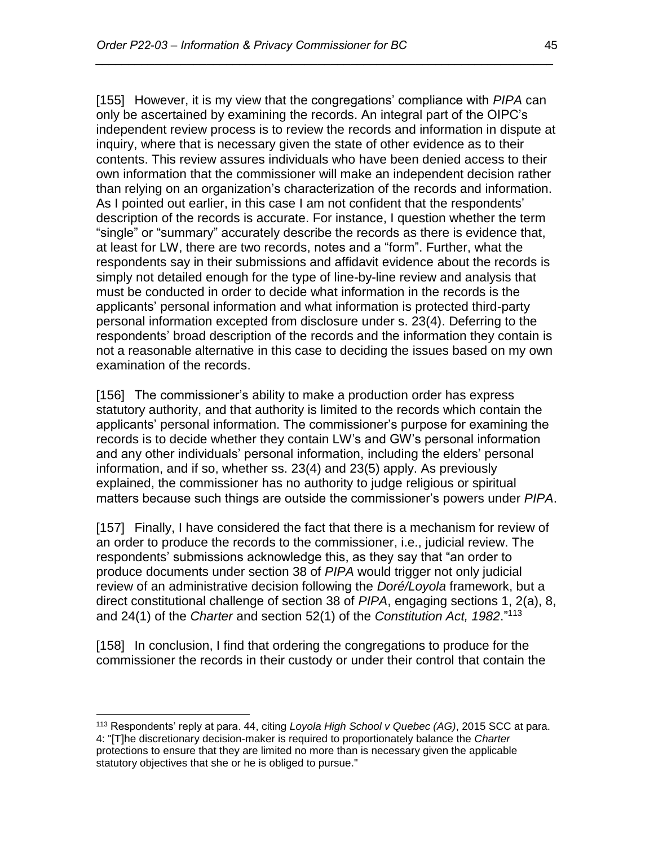[155] However, it is my view that the congregations' compliance with *PIPA* can only be ascertained by examining the records. An integral part of the OIPC's independent review process is to review the records and information in dispute at inquiry, where that is necessary given the state of other evidence as to their contents. This review assures individuals who have been denied access to their own information that the commissioner will make an independent decision rather than relying on an organization's characterization of the records and information. As I pointed out earlier, in this case I am not confident that the respondents' description of the records is accurate. For instance, I question whether the term "single" or "summary" accurately describe the records as there is evidence that, at least for LW, there are two records, notes and a "form". Further, what the respondents say in their submissions and affidavit evidence about the records is simply not detailed enough for the type of line-by-line review and analysis that must be conducted in order to decide what information in the records is the applicants' personal information and what information is protected third-party personal information excepted from disclosure under s. 23(4). Deferring to the respondents' broad description of the records and the information they contain is not a reasonable alternative in this case to deciding the issues based on my own examination of the records.

*\_\_\_\_\_\_\_\_\_\_\_\_\_\_\_\_\_\_\_\_\_\_\_\_\_\_\_\_\_\_\_\_\_\_\_\_\_\_\_\_\_\_\_\_\_\_\_\_\_\_\_\_\_\_\_\_\_\_\_\_\_\_\_\_\_\_\_\_\_\_*

[156] The commissioner's ability to make a production order has express statutory authority, and that authority is limited to the records which contain the applicants' personal information. The commissioner's purpose for examining the records is to decide whether they contain LW's and GW's personal information and any other individuals' personal information, including the elders' personal information, and if so, whether ss. 23(4) and 23(5) apply. As previously explained, the commissioner has no authority to judge religious or spiritual matters because such things are outside the commissioner's powers under *PIPA*.

[157] Finally, I have considered the fact that there is a mechanism for review of an order to produce the records to the commissioner, i.e., judicial review. The respondents' submissions acknowledge this, as they say that "an order to produce documents under section 38 of *PIPA* would trigger not only judicial review of an administrative decision following the *Doré/Loyola* framework, but a direct constitutional challenge of section 38 of *PIPA*, engaging sections 1, 2(a), 8, and 24(1) of the *Charter* and section 52(1) of the *Constitution Act, 1982*."<sup>113</sup>

[158] In conclusion, I find that ordering the congregations to produce for the commissioner the records in their custody or under their control that contain the

<sup>113</sup> Respondents' reply at para. 44, citing *Loyola High School v Quebec (AG)*, 2015 SCC at para. 4: "[T]he discretionary decision-maker is required to proportionately balance the *Charter*  protections to ensure that they are limited no more than is necessary given the applicable statutory objectives that she or he is obliged to pursue."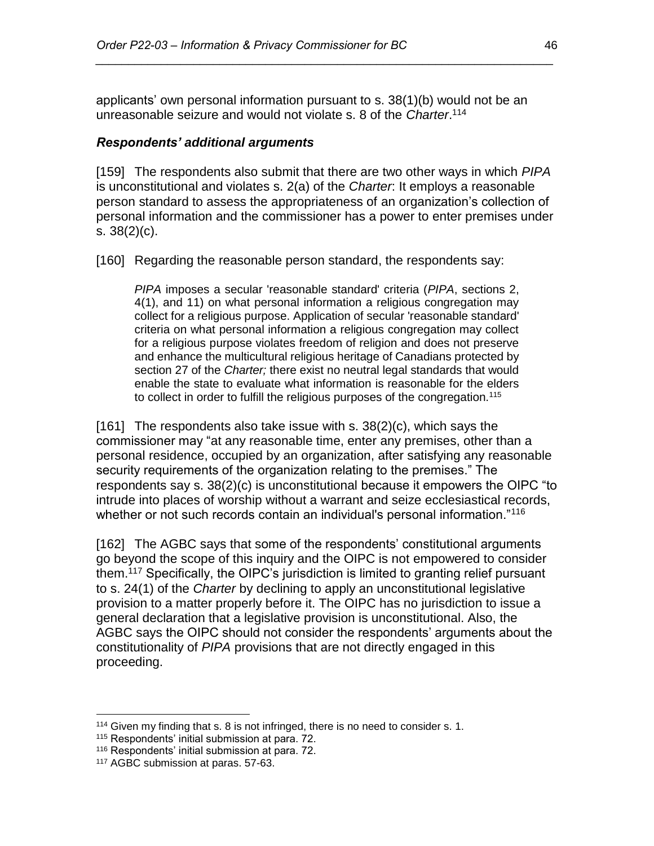applicants' own personal information pursuant to s. 38(1)(b) would not be an unreasonable seizure and would not violate s. 8 of the *Charter*. 114

*\_\_\_\_\_\_\_\_\_\_\_\_\_\_\_\_\_\_\_\_\_\_\_\_\_\_\_\_\_\_\_\_\_\_\_\_\_\_\_\_\_\_\_\_\_\_\_\_\_\_\_\_\_\_\_\_\_\_\_\_\_\_\_\_\_\_\_\_\_\_*

#### *Respondents' additional arguments*

[159] The respondents also submit that there are two other ways in which *PIPA* is unconstitutional and violates s. 2(a) of the *Charter*: It employs a reasonable person standard to assess the appropriateness of an organization's collection of personal information and the commissioner has a power to enter premises under s. 38(2)(c).

[160] Regarding the reasonable person standard, the respondents say:

*PIPA* imposes a secular 'reasonable standard' criteria (*PIPA*, sections 2, 4(1), and 11) on what personal information a religious congregation may collect for a religious purpose. Application of secular 'reasonable standard' criteria on what personal information a religious congregation may collect for a religious purpose violates freedom of religion and does not preserve and enhance the multicultural religious heritage of Canadians protected by section 27 of the *Charter;* there exist no neutral legal standards that would enable the state to evaluate what information is reasonable for the elders to collect in order to fulfill the religious purposes of the congregation.<sup>115</sup>

[161] The respondents also take issue with s.  $38(2)(c)$ , which says the commissioner may "at any reasonable time, enter any premises, other than a personal residence, occupied by an organization, after satisfying any reasonable security requirements of the organization relating to the premises." The respondents say s. 38(2)(c) is unconstitutional because it empowers the OIPC "to intrude into places of worship without a warrant and seize ecclesiastical records, whether or not such records contain an individual's personal information."<sup>116</sup>

[162] The AGBC says that some of the respondents' constitutional arguments go beyond the scope of this inquiry and the OIPC is not empowered to consider them.<sup>117</sup> Specifically, the OIPC's jurisdiction is limited to granting relief pursuant to s. 24(1) of the *Charter* by declining to apply an unconstitutional legislative provision to a matter properly before it. The OIPC has no jurisdiction to issue a general declaration that a legislative provision is unconstitutional. Also, the AGBC says the OIPC should not consider the respondents' arguments about the constitutionality of *PIPA* provisions that are not directly engaged in this proceeding.

 $114$  Given my finding that s. 8 is not infringed, there is no need to consider s. 1.

<sup>115</sup> Respondents' initial submission at para. 72.

<sup>116</sup> Respondents' initial submission at para. 72.

<sup>117</sup> AGBC submission at paras. 57-63.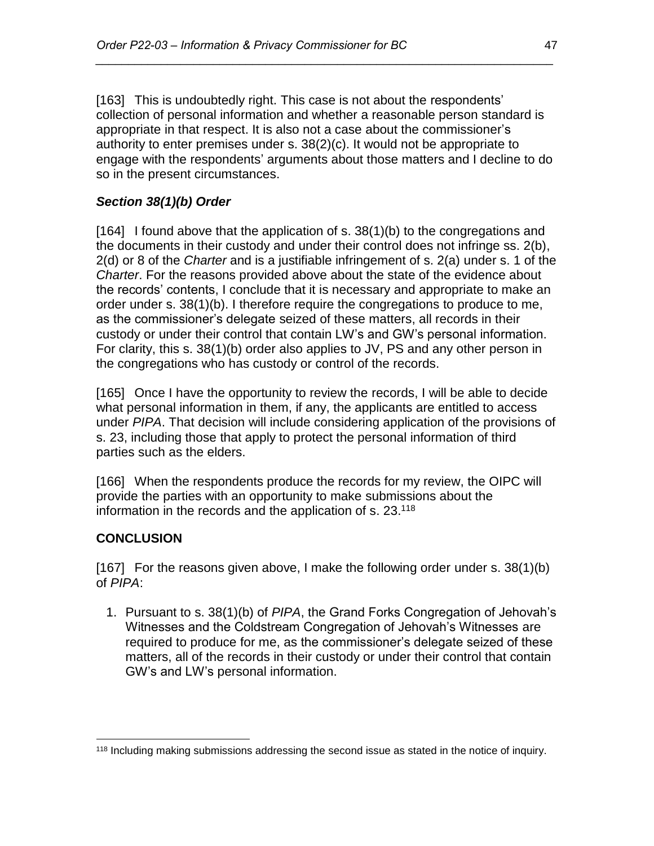[163] This is undoubtedly right. This case is not about the respondents' collection of personal information and whether a reasonable person standard is appropriate in that respect. It is also not a case about the commissioner's authority to enter premises under s. 38(2)(c). It would not be appropriate to engage with the respondents' arguments about those matters and I decline to do so in the present circumstances.

*\_\_\_\_\_\_\_\_\_\_\_\_\_\_\_\_\_\_\_\_\_\_\_\_\_\_\_\_\_\_\_\_\_\_\_\_\_\_\_\_\_\_\_\_\_\_\_\_\_\_\_\_\_\_\_\_\_\_\_\_\_\_\_\_\_\_\_\_\_\_*

# *Section 38(1)(b) Order*

[164] I found above that the application of s. 38(1)(b) to the congregations and the documents in their custody and under their control does not infringe ss. 2(b), 2(d) or 8 of the *Charter* and is a justifiable infringement of s. 2(a) under s. 1 of the *Charter*. For the reasons provided above about the state of the evidence about the records' contents, I conclude that it is necessary and appropriate to make an order under s. 38(1)(b). I therefore require the congregations to produce to me, as the commissioner's delegate seized of these matters, all records in their custody or under their control that contain LW's and GW's personal information. For clarity, this s. 38(1)(b) order also applies to JV, PS and any other person in the congregations who has custody or control of the records.

[165] Once I have the opportunity to review the records, I will be able to decide what personal information in them, if any, the applicants are entitled to access under *PIPA*. That decision will include considering application of the provisions of s. 23, including those that apply to protect the personal information of third parties such as the elders.

[166] When the respondents produce the records for my review, the OIPC will provide the parties with an opportunity to make submissions about the information in the records and the application of s. 23.<sup>118</sup>

# **CONCLUSION**

 $\overline{a}$ 

[167] For the reasons given above, I make the following order under s. 38(1)(b) of *PIPA*:

1. Pursuant to s. 38(1)(b) of *PIPA*, the Grand Forks Congregation of Jehovah's Witnesses and the Coldstream Congregation of Jehovah's Witnesses are required to produce for me, as the commissioner's delegate seized of these matters, all of the records in their custody or under their control that contain GW's and LW's personal information.

<sup>&</sup>lt;sup>118</sup> Including making submissions addressing the second issue as stated in the notice of inquiry.